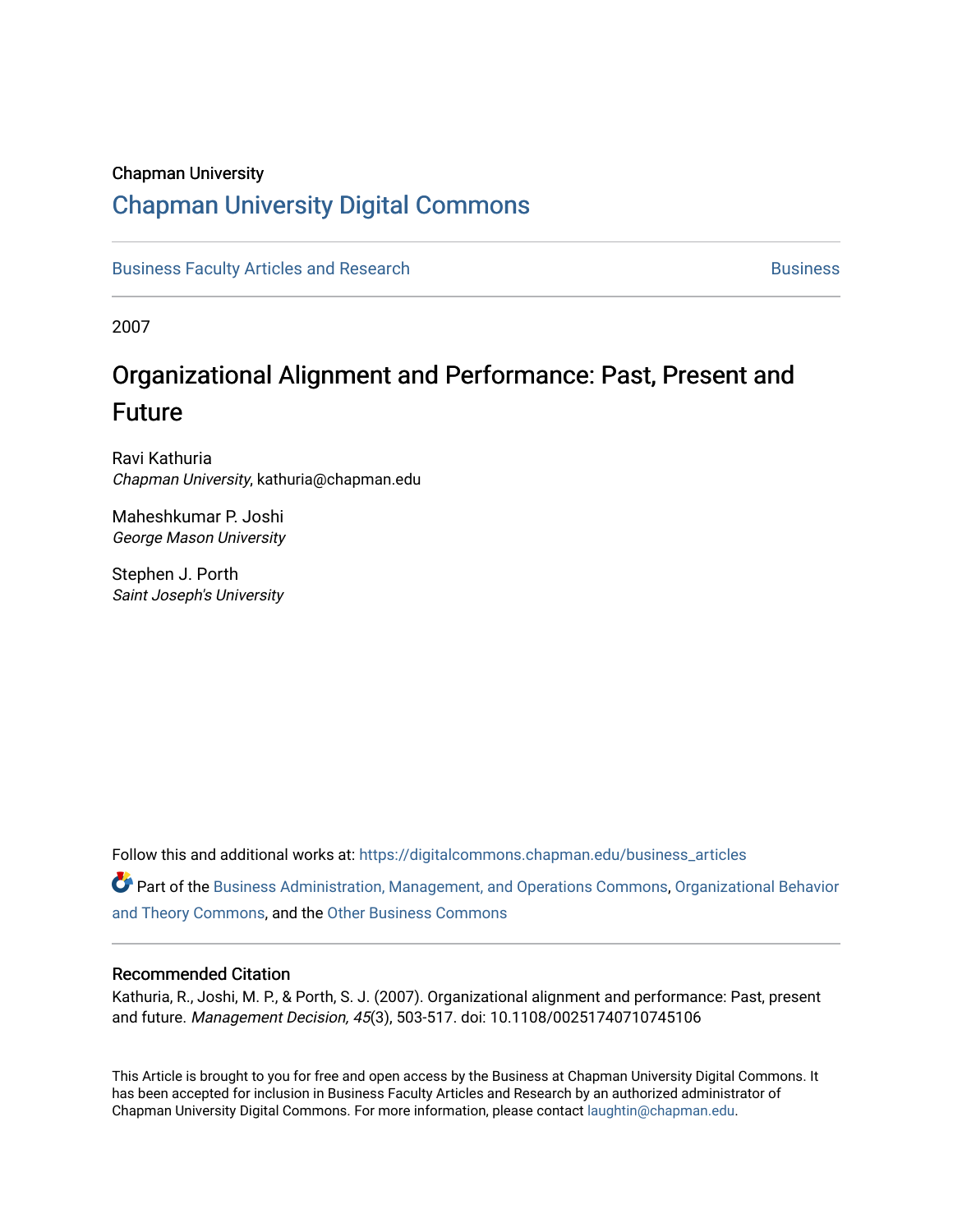#### Chapman University

# [Chapman University Digital Commons](https://digitalcommons.chapman.edu/)

[Business Faculty Articles and Research](https://digitalcommons.chapman.edu/business_articles) [Business](https://digitalcommons.chapman.edu/business) **Business** Business

2007

# Organizational Alignment and Performance: Past, Present and Future

Ravi Kathuria Chapman University, kathuria@chapman.edu

Maheshkumar P. Joshi George Mason University

Stephen J. Porth Saint Joseph's University

Follow this and additional works at: [https://digitalcommons.chapman.edu/business\\_articles](https://digitalcommons.chapman.edu/business_articles?utm_source=digitalcommons.chapman.edu%2Fbusiness_articles%2F81&utm_medium=PDF&utm_campaign=PDFCoverPages) 

Part of the [Business Administration, Management, and Operations Commons](http://network.bepress.com/hgg/discipline/623?utm_source=digitalcommons.chapman.edu%2Fbusiness_articles%2F81&utm_medium=PDF&utm_campaign=PDFCoverPages), [Organizational Behavior](http://network.bepress.com/hgg/discipline/639?utm_source=digitalcommons.chapman.edu%2Fbusiness_articles%2F81&utm_medium=PDF&utm_campaign=PDFCoverPages) [and Theory Commons](http://network.bepress.com/hgg/discipline/639?utm_source=digitalcommons.chapman.edu%2Fbusiness_articles%2F81&utm_medium=PDF&utm_campaign=PDFCoverPages), and the [Other Business Commons](http://network.bepress.com/hgg/discipline/647?utm_source=digitalcommons.chapman.edu%2Fbusiness_articles%2F81&utm_medium=PDF&utm_campaign=PDFCoverPages)

#### Recommended Citation

Kathuria, R., Joshi, M. P., & Porth, S. J. (2007). Organizational alignment and performance: Past, present and future. Management Decision, 45(3), 503-517. doi: 10.1108/00251740710745106

This Article is brought to you for free and open access by the Business at Chapman University Digital Commons. It has been accepted for inclusion in Business Faculty Articles and Research by an authorized administrator of Chapman University Digital Commons. For more information, please contact [laughtin@chapman.edu](mailto:laughtin@chapman.edu).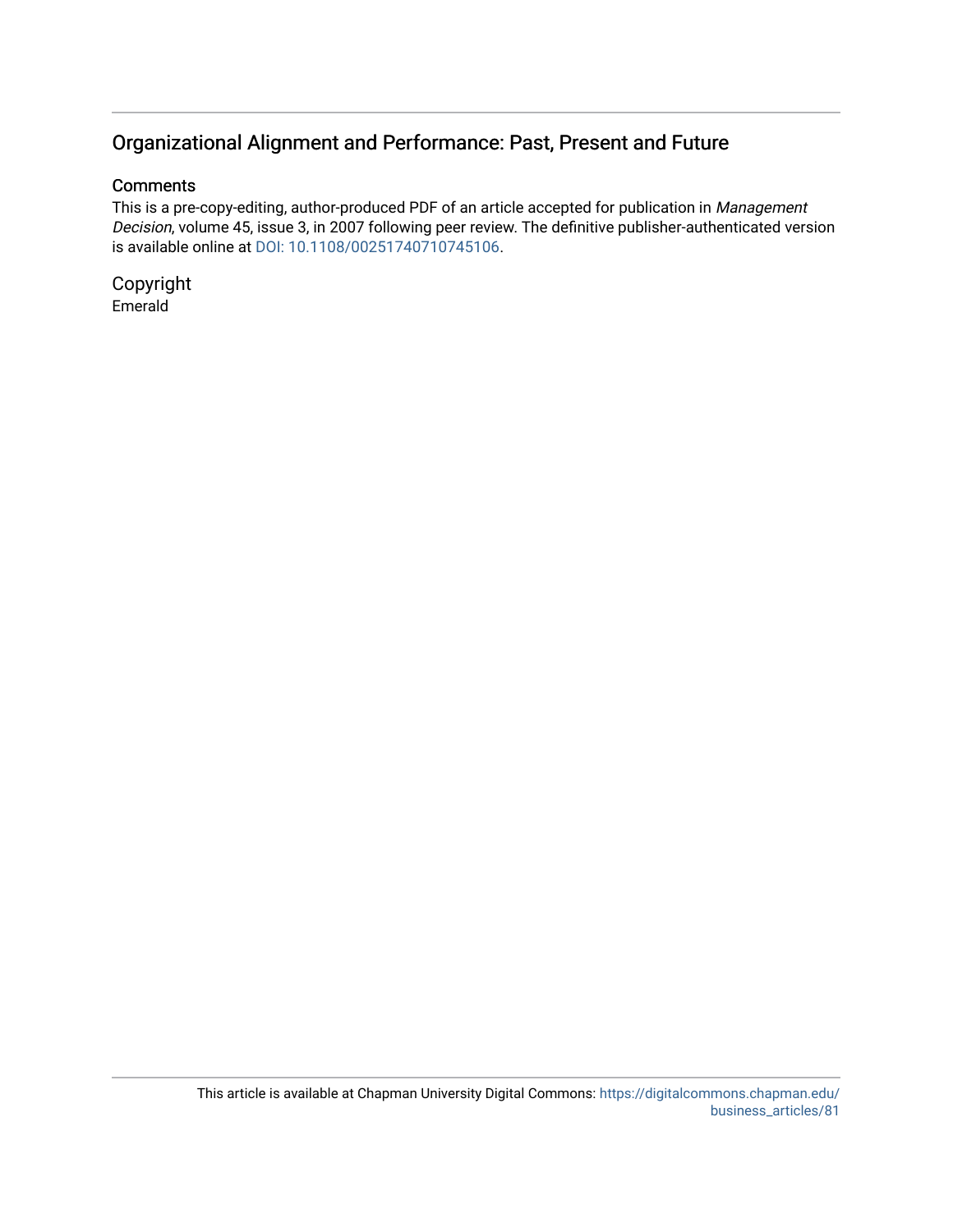# Organizational Alignment and Performance: Past, Present and Future

#### **Comments**

This is a pre-copy-editing, author-produced PDF of an article accepted for publication in Management Decision, volume 45, issue 3, in 2007 following peer review. The definitive publisher-authenticated version is available online at [DOI: 10.1108/00251740710745106](https://doi.org/10.1108/00251740710745106).

Copyright Emerald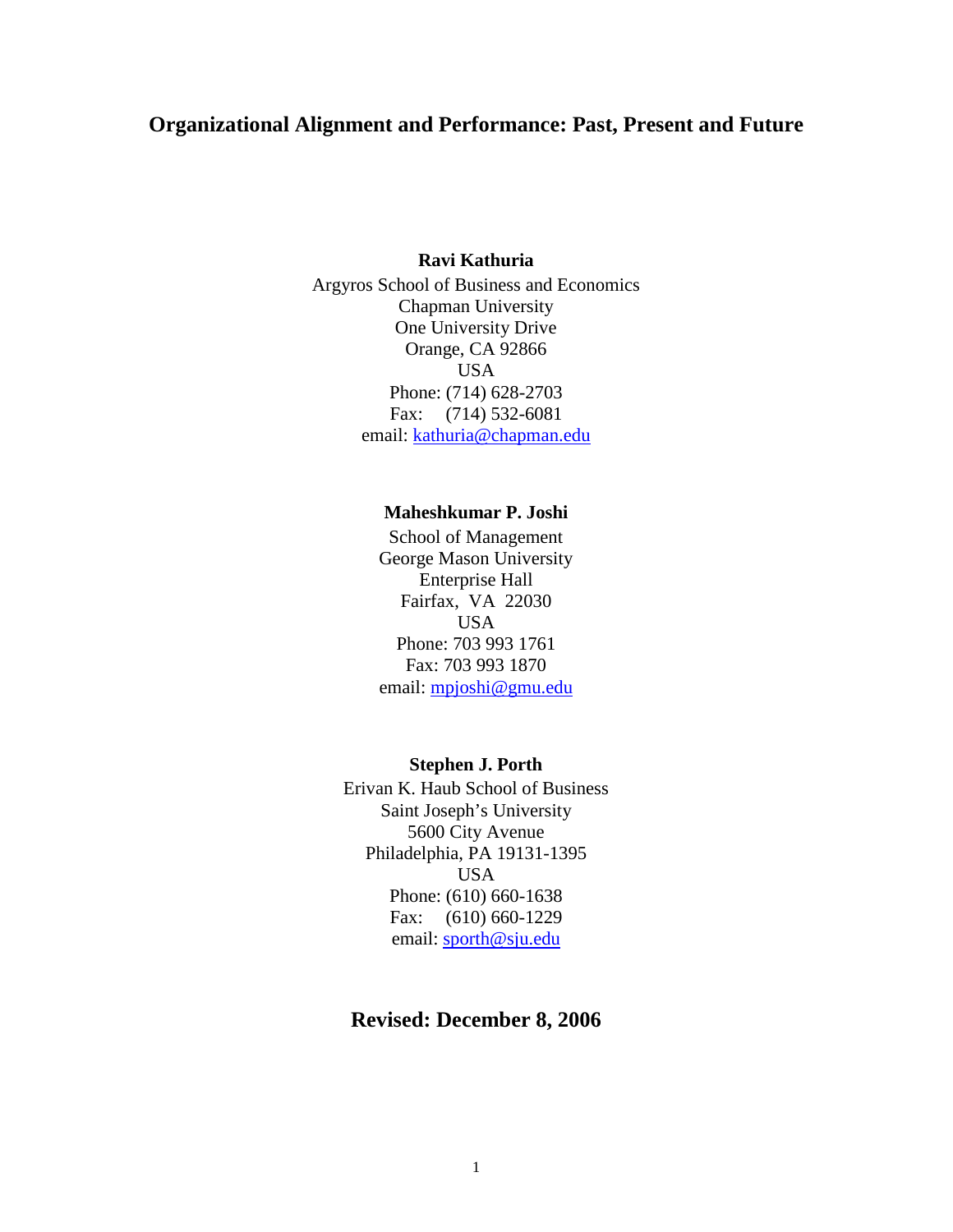## **Organizational Alignment and Performance: Past, Present and Future**

#### **Ravi Kathuria**

Argyros School of Business and Economics Chapman University One University Drive Orange, CA 92866 USA Phone: (714) 628-2703 Fax: (714) 532-6081 email: [kathuria@chapman.edu](mailto:kathuria@chapman.edu)

#### **Maheshkumar P. Joshi**

School of Management George Mason University Enterprise Hall Fairfax, VA 22030 USA Phone: 703 993 1761 Fax: 703 993 1870 email: [mpjoshi@gmu.edu](mailto:mpjoshi@gmu.edu)

#### **Stephen J. Porth**

Erivan K. Haub School of Business Saint Joseph's University 5600 City Avenue Philadelphia, PA 19131-1395 USA Phone: (610) 660-1638 Fax: (610) 660-1229 email: [sporth@sju.edu](mailto:sporth@sju.edu)

## **Revised: December 8, 2006**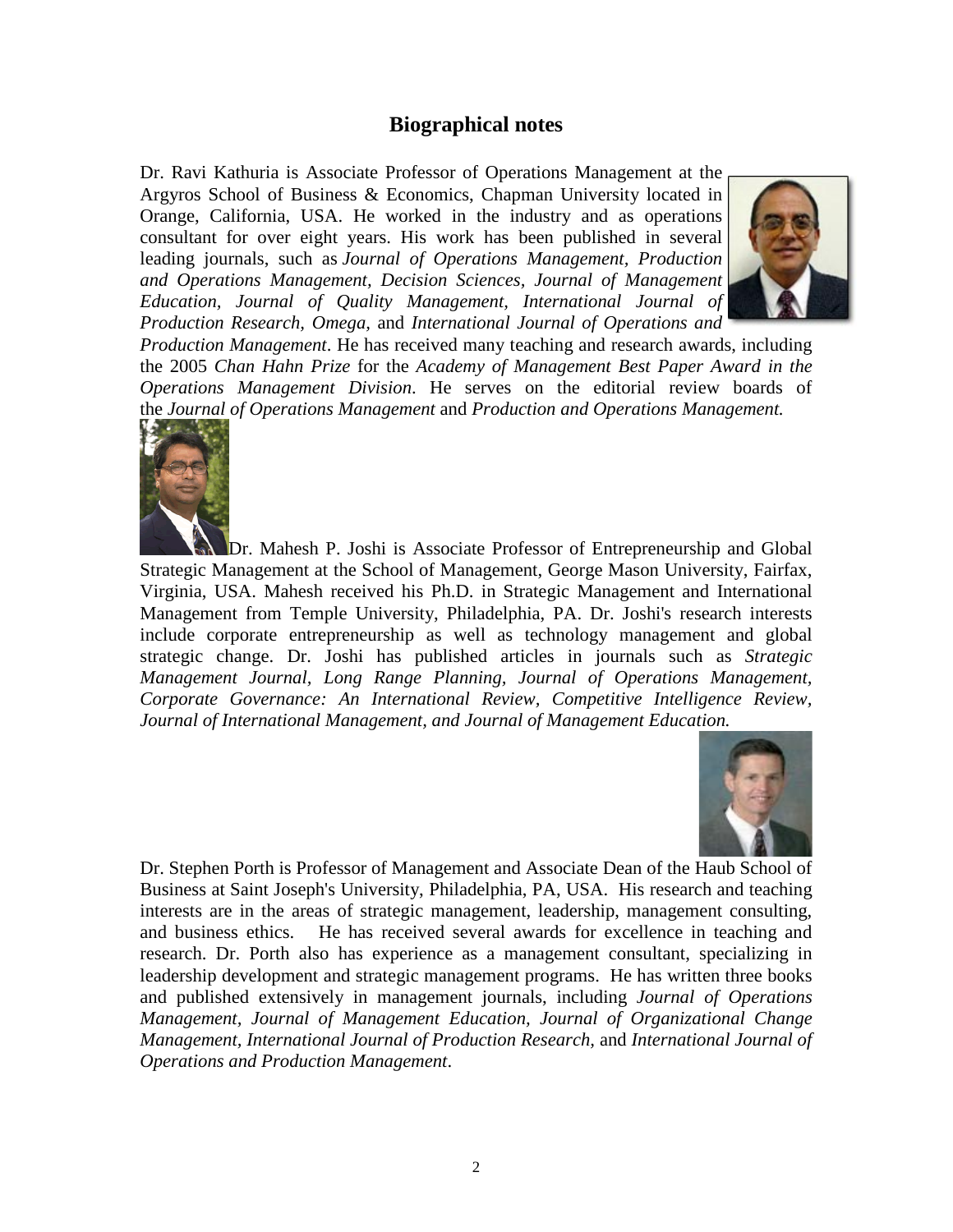# **Biographical notes**

Dr. Ravi Kathuria is Associate Professor of Operations Management at the Argyros School of Business & Economics, Chapman University located in Orange, California, USA. He worked in the industry and as operations consultant for over eight years. His work has been published in several leading journals, such as *Journal of Operations Management, Production and Operations Management, Decision Sciences, Journal of Management Education, Journal of Quality Management, International Journal of Production Research, Omega,* and *International Journal of Operations and* 



*Production Management*. He has received many teaching and research awards, including the 2005 *Chan Hahn Prize* for the *Academy of Management Best Paper Award in the Operations Management Division*. He serves on the editorial review boards of the *Journal of Operations Management* and *Production and Operations Management.*



Dr. Mahesh P. Joshi is Associate Professor of Entrepreneurship and Global Strategic Management at the School of Management, George Mason University, Fairfax, Virginia, USA. Mahesh received his Ph.D. in Strategic Management and International Management from Temple University, Philadelphia, PA. Dr. Joshi's research interests include corporate entrepreneurship as well as technology management and global strategic change. Dr. Joshi has published articles in journals such as *Strategic Management Journal, Long Range Planning, Journal of Operations Management, Corporate Governance: An International Review, Competitive Intelligence Review, Journal of International Management, and Journal of Management Education.*



Dr. Stephen Porth is Professor of Management and Associate Dean of the Haub School of Business at Saint Joseph's University, Philadelphia, PA, USA. His research and teaching interests are in the areas of strategic management, leadership, management consulting, and business ethics. He has received several awards for excellence in teaching and research. Dr. Porth also has experience as a management consultant, specializing in leadership development and strategic management programs. He has written three books and published extensively in management journals, including *Journal of Operations Management, Journal of Management Education, Journal of Organizational Change Management, International Journal of Production Research,* and *International Journal of Operations and Production Management*.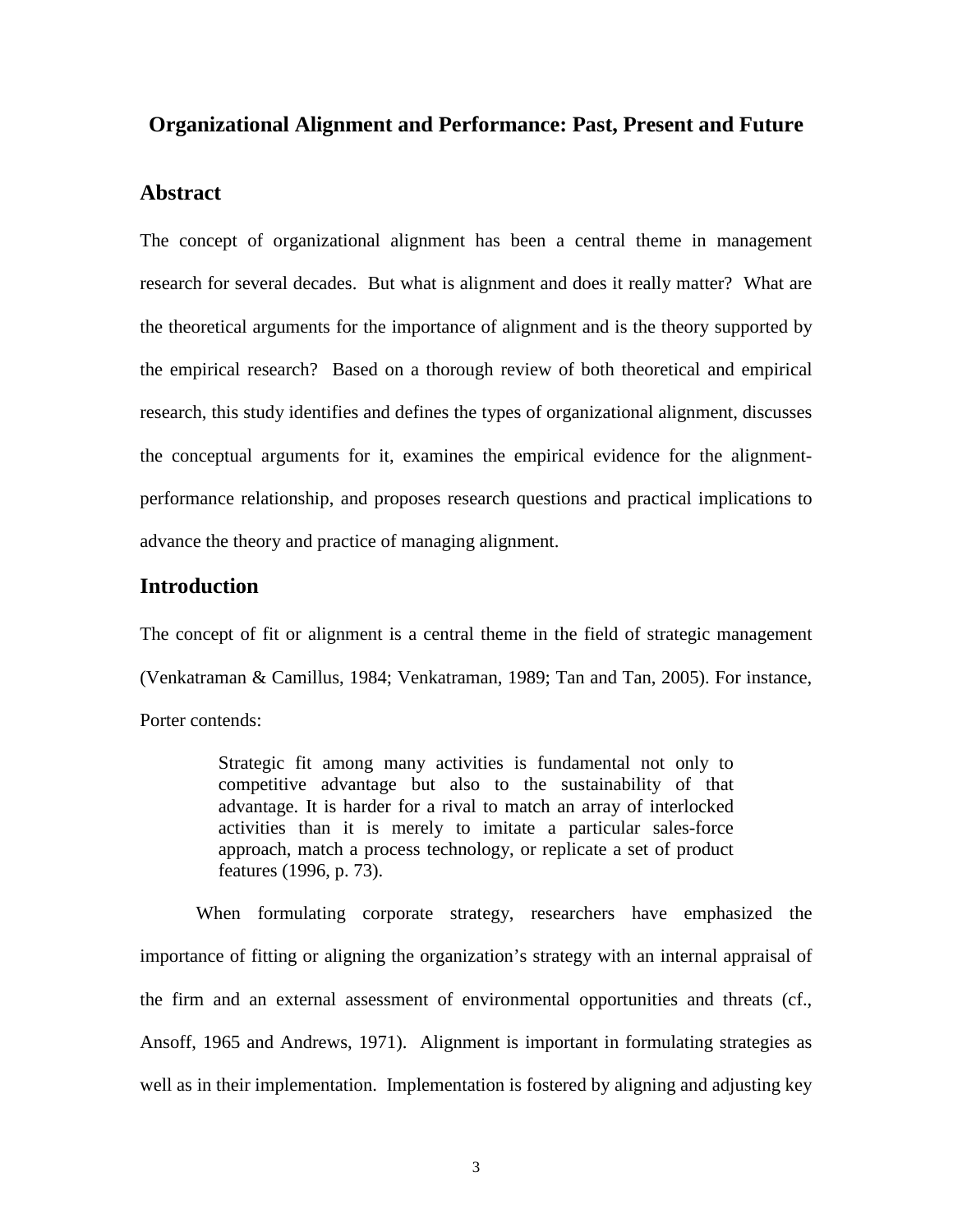#### **Organizational Alignment and Performance: Past, Present and Future**

#### **Abstract**

The concept of organizational alignment has been a central theme in management research for several decades. But what is alignment and does it really matter? What are the theoretical arguments for the importance of alignment and is the theory supported by the empirical research? Based on a thorough review of both theoretical and empirical research, this study identifies and defines the types of organizational alignment, discusses the conceptual arguments for it, examines the empirical evidence for the alignmentperformance relationship, and proposes research questions and practical implications to advance the theory and practice of managing alignment.

#### **Introduction**

The concept of fit or alignment is a central theme in the field of strategic management (Venkatraman & Camillus, 1984; Venkatraman, 1989; Tan and Tan, 2005). For instance, Porter contends:

> Strategic fit among many activities is fundamental not only to competitive advantage but also to the sustainability of that advantage. It is harder for a rival to match an array of interlocked activities than it is merely to imitate a particular sales-force approach, match a process technology, or replicate a set of product features (1996, p. 73).

When formulating corporate strategy, researchers have emphasized the importance of fitting or aligning the organization's strategy with an internal appraisal of the firm and an external assessment of environmental opportunities and threats (cf., Ansoff, 1965 and Andrews, 1971). Alignment is important in formulating strategies as well as in their implementation. Implementation is fostered by aligning and adjusting key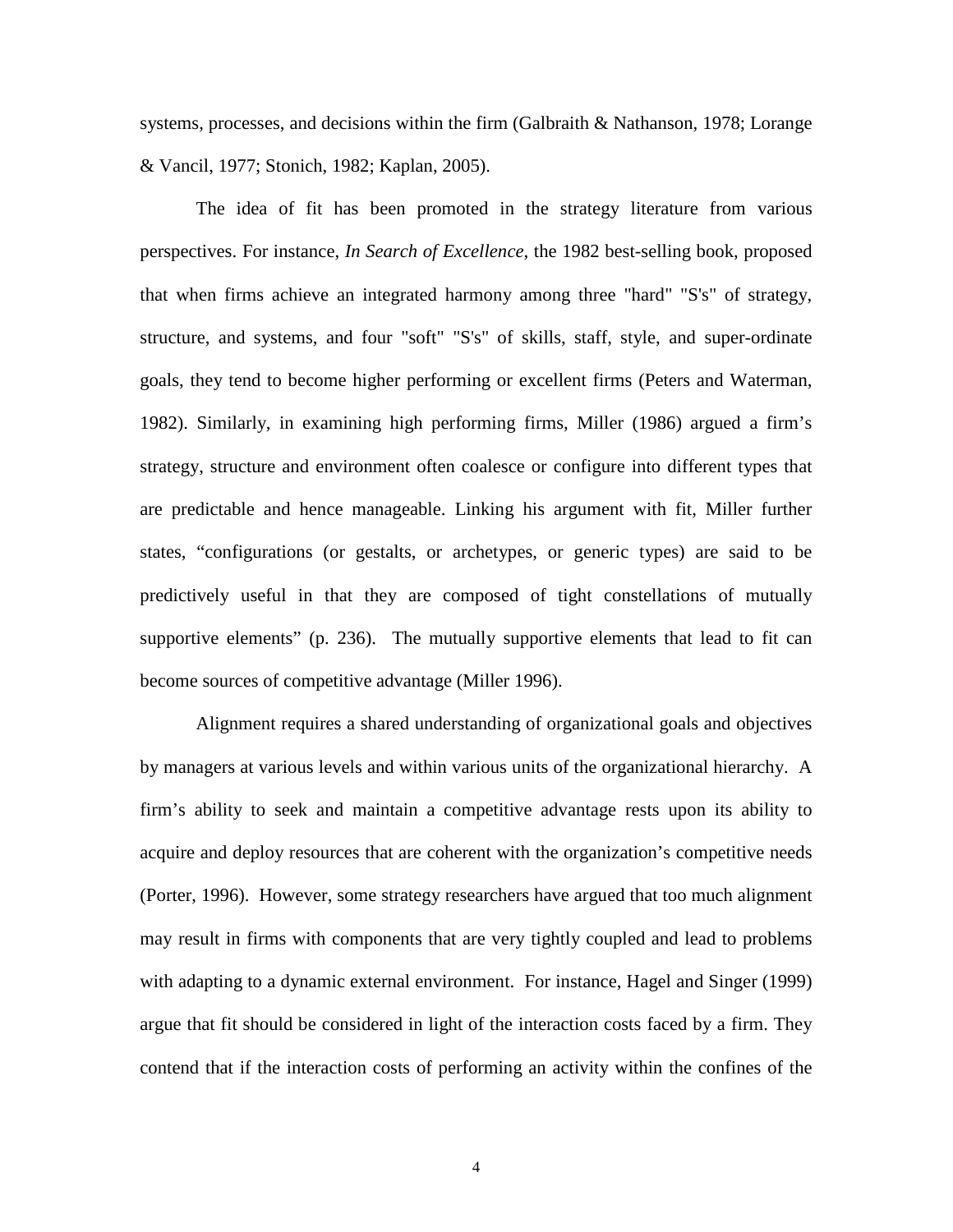systems, processes, and decisions within the firm (Galbraith & Nathanson, 1978; Lorange & Vancil, 1977; Stonich, 1982; Kaplan, 2005).

The idea of fit has been promoted in the strategy literature from various perspectives. For instance, *In Search of Excellence*, the 1982 best-selling book, proposed that when firms achieve an integrated harmony among three "hard" "S's" of strategy, structure, and systems, and four "soft" "S's" of skills, staff, style, and super-ordinate goals, they tend to become higher performing or excellent firms (Peters and Waterman, 1982). Similarly, in examining high performing firms, Miller (1986) argued a firm's strategy, structure and environment often coalesce or configure into different types that are predictable and hence manageable. Linking his argument with fit, Miller further states, "configurations (or gestalts, or archetypes, or generic types) are said to be predictively useful in that they are composed of tight constellations of mutually supportive elements" (p. 236). The mutually supportive elements that lead to fit can become sources of competitive advantage (Miller 1996).

Alignment requires a shared understanding of organizational goals and objectives by managers at various levels and within various units of the organizational hierarchy. A firm's ability to seek and maintain a competitive advantage rests upon its ability to acquire and deploy resources that are coherent with the organization's competitive needs (Porter, 1996). However, some strategy researchers have argued that too much alignment may result in firms with components that are very tightly coupled and lead to problems with adapting to a dynamic external environment. For instance, Hagel and Singer (1999) argue that fit should be considered in light of the interaction costs faced by a firm. They contend that if the interaction costs of performing an activity within the confines of the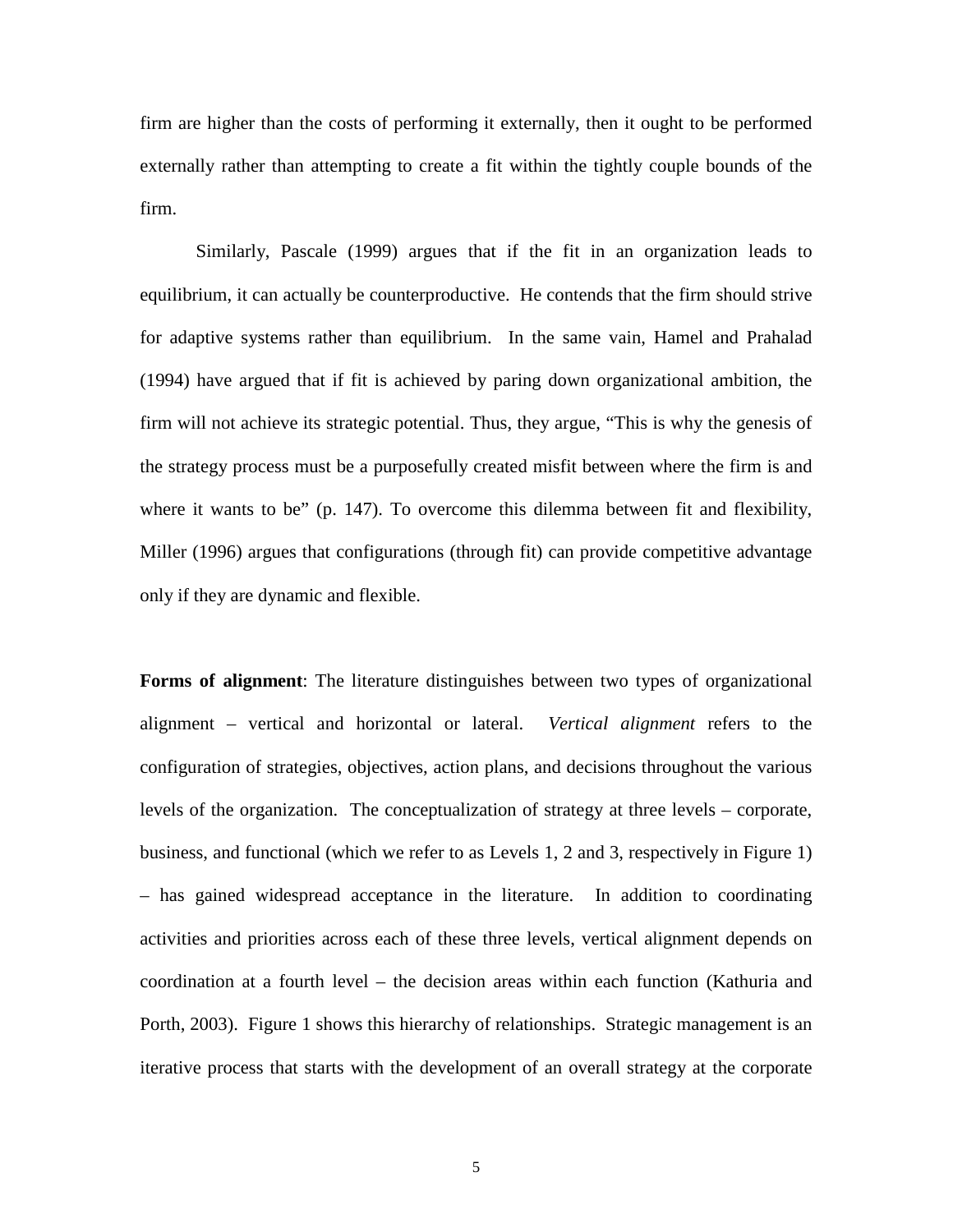firm are higher than the costs of performing it externally, then it ought to be performed externally rather than attempting to create a fit within the tightly couple bounds of the firm.

Similarly, Pascale (1999) argues that if the fit in an organization leads to equilibrium, it can actually be counterproductive. He contends that the firm should strive for adaptive systems rather than equilibrium. In the same vain, Hamel and Prahalad (1994) have argued that if fit is achieved by paring down organizational ambition, the firm will not achieve its strategic potential. Thus, they argue, "This is why the genesis of the strategy process must be a purposefully created misfit between where the firm is and where it wants to be" (p. 147). To overcome this dilemma between fit and flexibility, Miller (1996) argues that configurations (through fit) can provide competitive advantage only if they are dynamic and flexible.

**Forms of alignment**: The literature distinguishes between two types of organizational alignment – vertical and horizontal or lateral. *Vertical alignment* refers to the configuration of strategies, objectives, action plans, and decisions throughout the various levels of the organization. The conceptualization of strategy at three levels – corporate, business, and functional (which we refer to as Levels 1, 2 and 3, respectively in Figure 1) – has gained widespread acceptance in the literature. In addition to coordinating activities and priorities across each of these three levels, vertical alignment depends on coordination at a fourth level – the decision areas within each function (Kathuria and Porth, 2003). Figure 1 shows this hierarchy of relationships. Strategic management is an iterative process that starts with the development of an overall strategy at the corporate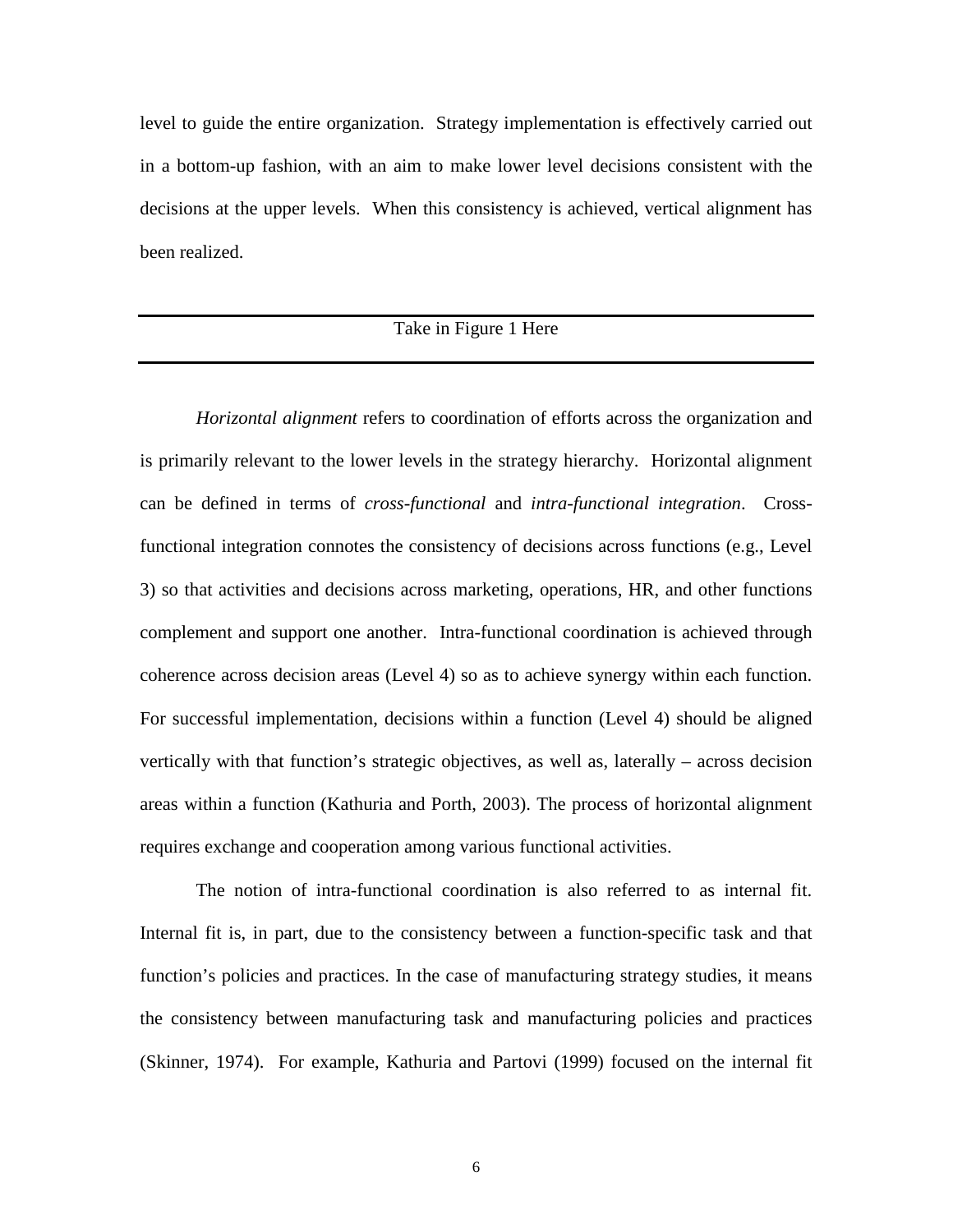level to guide the entire organization. Strategy implementation is effectively carried out in a bottom-up fashion, with an aim to make lower level decisions consistent with the decisions at the upper levels. When this consistency is achieved, vertical alignment has been realized.

#### Take in Figure 1 Here

*Horizontal alignment* refers to coordination of efforts across the organization and is primarily relevant to the lower levels in the strategy hierarchy. Horizontal alignment can be defined in terms of *cross-functional* and *intra-functional integration*. Crossfunctional integration connotes the consistency of decisions across functions (e.g., Level 3) so that activities and decisions across marketing, operations, HR, and other functions complement and support one another. Intra-functional coordination is achieved through coherence across decision areas (Level 4) so as to achieve synergy within each function. For successful implementation, decisions within a function (Level 4) should be aligned vertically with that function's strategic objectives, as well as, laterally – across decision areas within a function (Kathuria and Porth, 2003). The process of horizontal alignment requires exchange and cooperation among various functional activities.

The notion of intra-functional coordination is also referred to as internal fit. Internal fit is, in part, due to the consistency between a function-specific task and that function's policies and practices. In the case of manufacturing strategy studies, it means the consistency between manufacturing task and manufacturing policies and practices (Skinner, 1974). For example, Kathuria and Partovi (1999) focused on the internal fit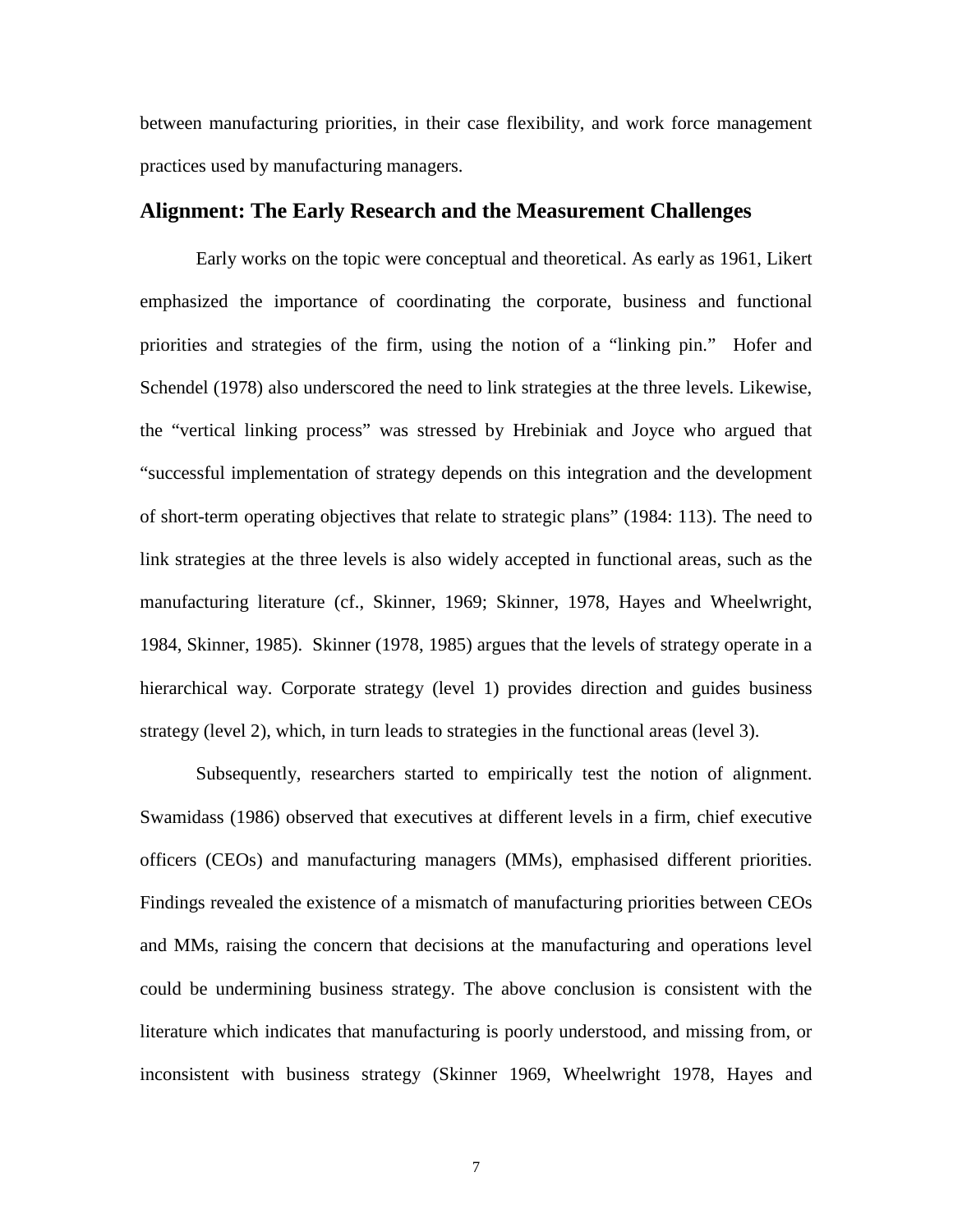between manufacturing priorities, in their case flexibility, and work force management practices used by manufacturing managers.

#### **Alignment: The Early Research and the Measurement Challenges**

Early works on the topic were conceptual and theoretical. As early as 1961, Likert emphasized the importance of coordinating the corporate, business and functional priorities and strategies of the firm, using the notion of a "linking pin." Hofer and Schendel (1978) also underscored the need to link strategies at the three levels. Likewise, the "vertical linking process" was stressed by Hrebiniak and Joyce who argued that "successful implementation of strategy depends on this integration and the development of short-term operating objectives that relate to strategic plans" (1984: 113). The need to link strategies at the three levels is also widely accepted in functional areas, such as the manufacturing literature (cf., Skinner, 1969; Skinner, 1978, Hayes and Wheelwright, 1984, Skinner, 1985). Skinner (1978, 1985) argues that the levels of strategy operate in a hierarchical way. Corporate strategy (level 1) provides direction and guides business strategy (level 2), which, in turn leads to strategies in the functional areas (level 3).

Subsequently, researchers started to empirically test the notion of alignment. Swamidass (1986) observed that executives at different levels in a firm, chief executive officers (CEOs) and manufacturing managers (MMs), emphasised different priorities. Findings revealed the existence of a mismatch of manufacturing priorities between CEOs and MMs, raising the concern that decisions at the manufacturing and operations level could be undermining business strategy. The above conclusion is consistent with the literature which indicates that manufacturing is poorly understood, and missing from, or inconsistent with business strategy (Skinner 1969, Wheelwright 1978, Hayes and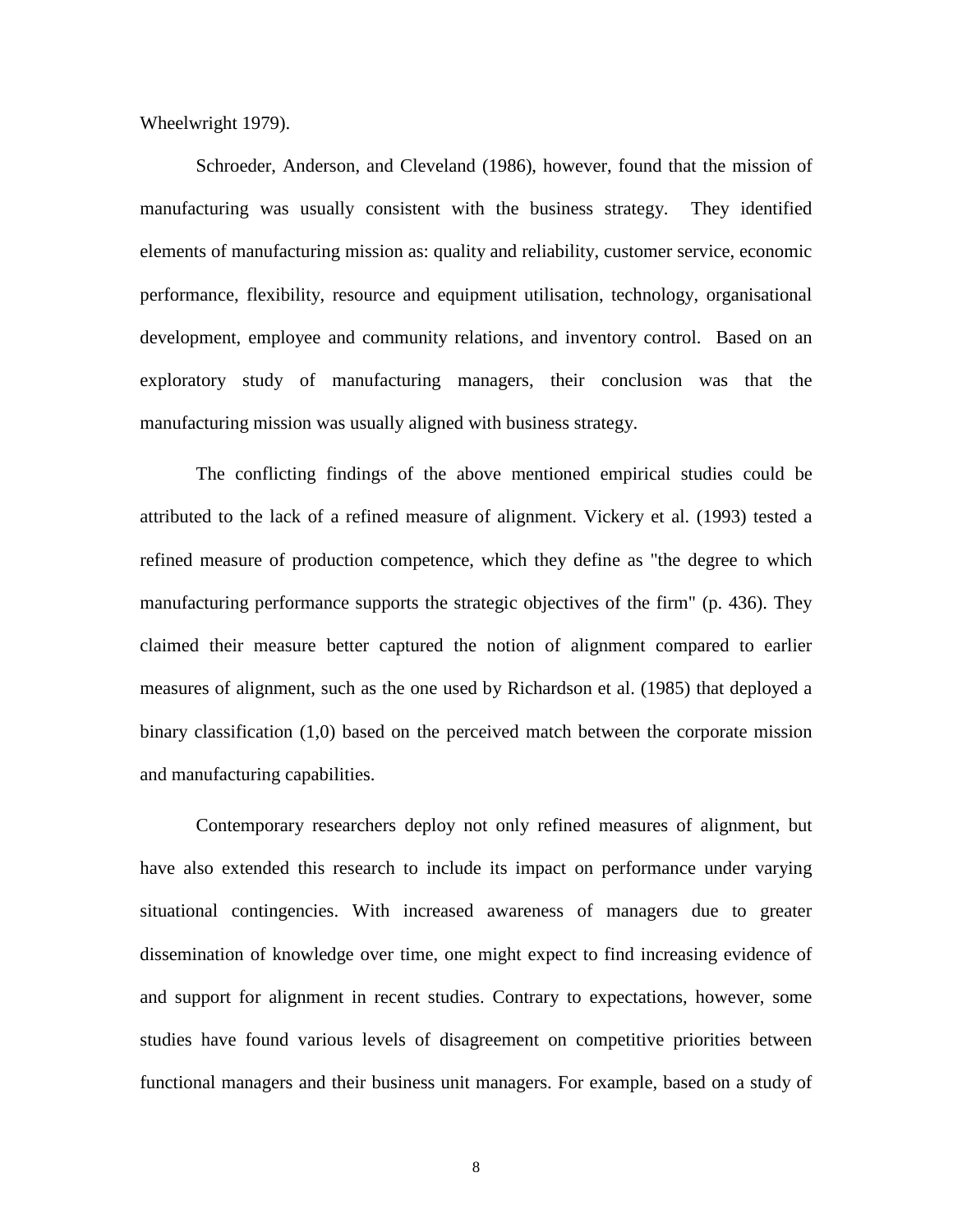Wheelwright 1979).

Schroeder, Anderson, and Cleveland (1986), however, found that the mission of manufacturing was usually consistent with the business strategy. They identified elements of manufacturing mission as: quality and reliability, customer service, economic performance, flexibility, resource and equipment utilisation, technology, organisational development, employee and community relations, and inventory control. Based on an exploratory study of manufacturing managers, their conclusion was that the manufacturing mission was usually aligned with business strategy.

The conflicting findings of the above mentioned empirical studies could be attributed to the lack of a refined measure of alignment. Vickery et al. (1993) tested a refined measure of production competence, which they define as "the degree to which manufacturing performance supports the strategic objectives of the firm" (p. 436). They claimed their measure better captured the notion of alignment compared to earlier measures of alignment, such as the one used by Richardson et al. (1985) that deployed a binary classification (1,0) based on the perceived match between the corporate mission and manufacturing capabilities.

Contemporary researchers deploy not only refined measures of alignment, but have also extended this research to include its impact on performance under varying situational contingencies. With increased awareness of managers due to greater dissemination of knowledge over time, one might expect to find increasing evidence of and support for alignment in recent studies. Contrary to expectations, however, some studies have found various levels of disagreement on competitive priorities between functional managers and their business unit managers. For example, based on a study of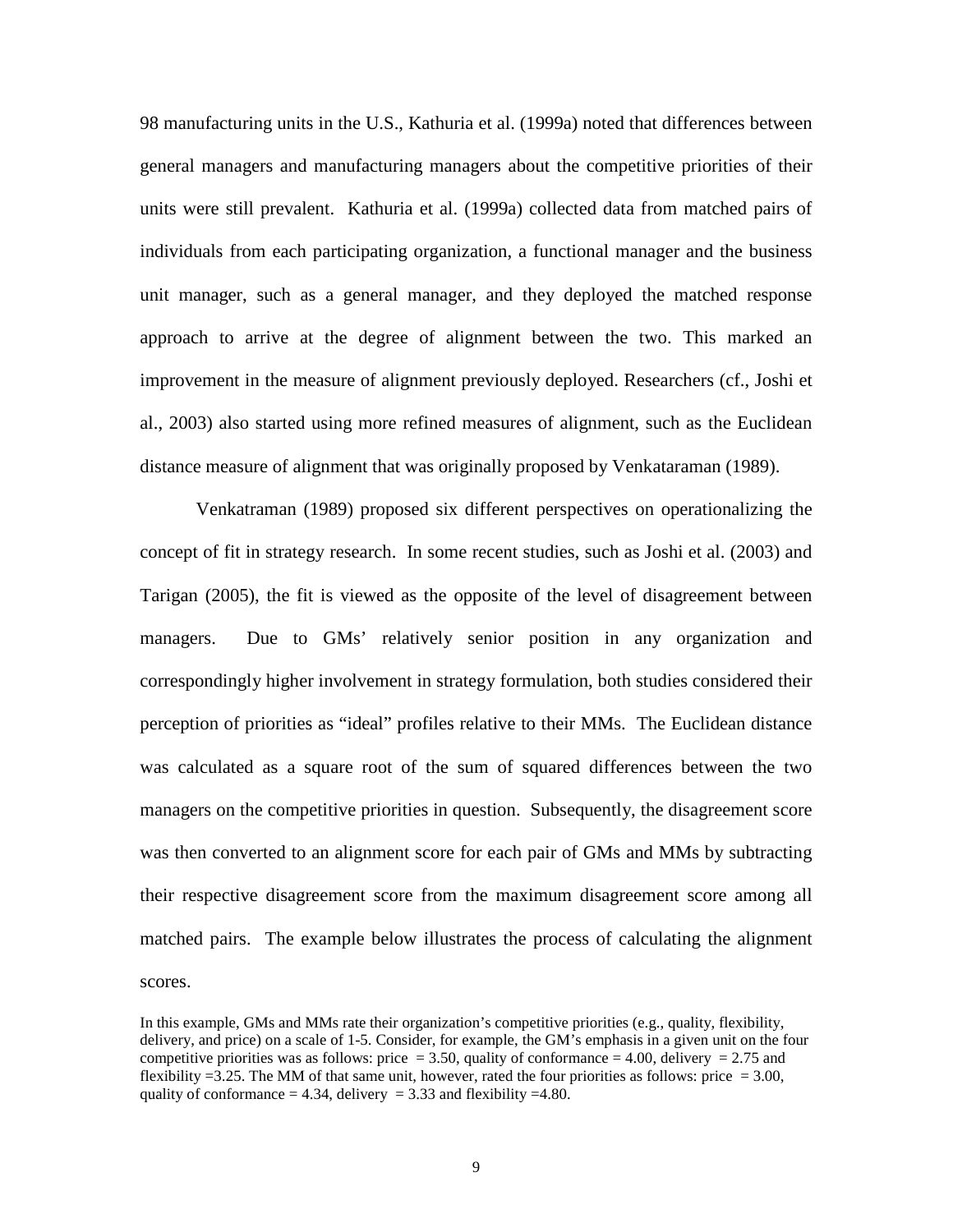98 manufacturing units in the U.S., Kathuria et al. (1999a) noted that differences between general managers and manufacturing managers about the competitive priorities of their units were still prevalent. Kathuria et al. (1999a) collected data from matched pairs of individuals from each participating organization, a functional manager and the business unit manager, such as a general manager, and they deployed the matched response approach to arrive at the degree of alignment between the two. This marked an improvement in the measure of alignment previously deployed. Researchers (cf., Joshi et al., 2003) also started using more refined measures of alignment, such as the Euclidean distance measure of alignment that was originally proposed by Venkataraman (1989).

Venkatraman (1989) proposed six different perspectives on operationalizing the concept of fit in strategy research. In some recent studies, such as Joshi et al. (2003) and Tarigan (2005), the fit is viewed as the opposite of the level of disagreement between managers. Due to GMs' relatively senior position in any organization and correspondingly higher involvement in strategy formulation, both studies considered their perception of priorities as "ideal" profiles relative to their MMs. The Euclidean distance was calculated as a square root of the sum of squared differences between the two managers on the competitive priorities in question. Subsequently, the disagreement score was then converted to an alignment score for each pair of GMs and MMs by subtracting their respective disagreement score from the maximum disagreement score among all matched pairs. The example below illustrates the process of calculating the alignment scores.

In this example, GMs and MMs rate their organization's competitive priorities (e.g., quality, flexibility, delivery, and price) on a scale of 1-5. Consider, for example, the GM's emphasis in a given unit on the four competitive priorities was as follows: price  $= 3.50$ , quality of conformance  $= 4.00$ , delivery  $= 2.75$  and flexibility  $=3.25$ . The MM of that same unit, however, rated the four priorities as follows: price  $= 3.00$ , quality of conformance  $= 4.34$ , delivery  $= 3.33$  and flexibility  $= 4.80$ .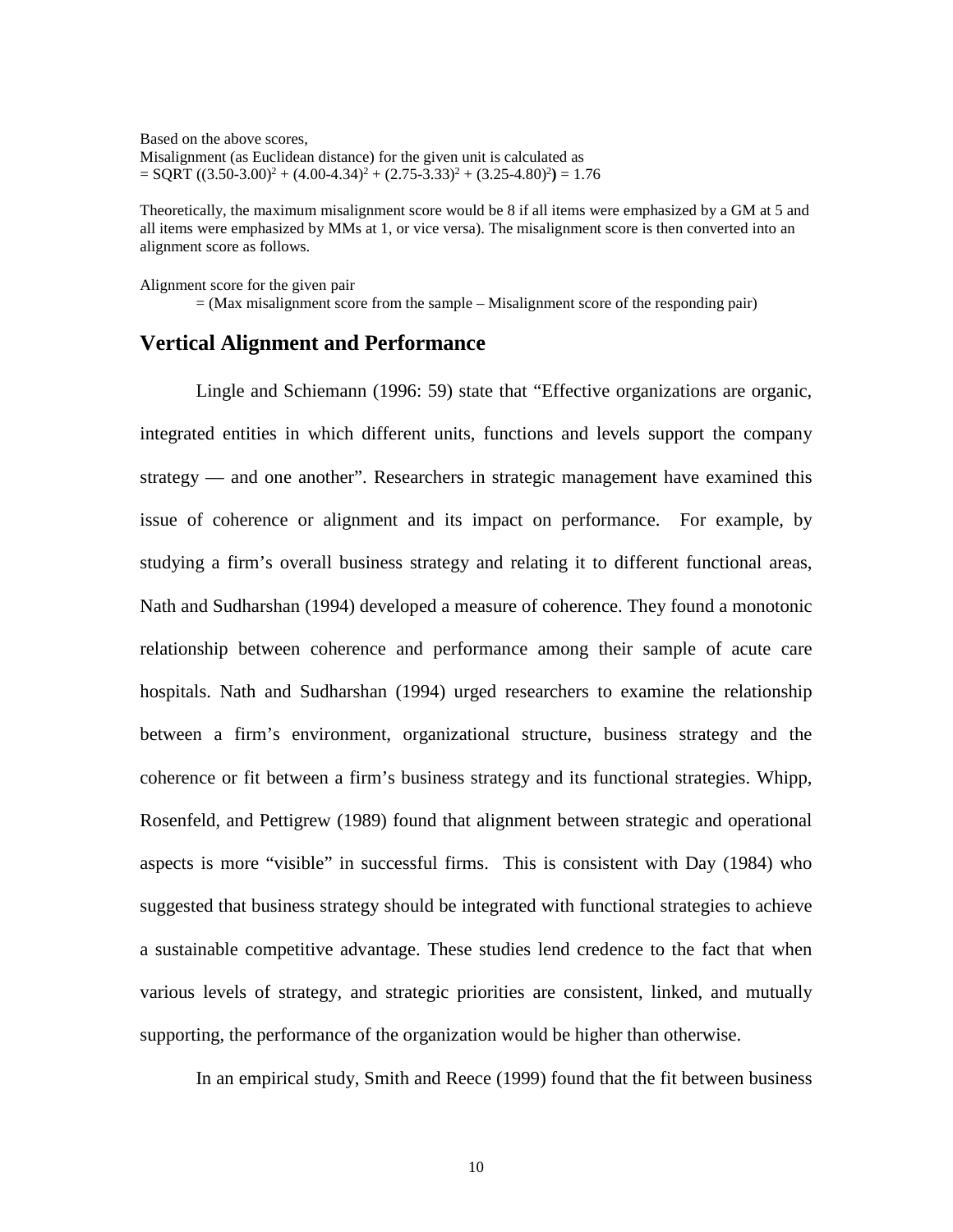Based on the above scores, Misalignment (as Euclidean distance) for the given unit is calculated as  $=$  SQRT  $((3.50-3.00)^{2} + (4.00-4.34)^{2} + (2.75-3.33)^{2} + (3.25-4.80)^{2}) = 1.76$ 

Theoretically, the maximum misalignment score would be 8 if all items were emphasized by a GM at 5 and all items were emphasized by MMs at 1, or vice versa). The misalignment score is then converted into an alignment score as follows.

Alignment score for the given pair

 $=$  (Max misalignment score from the sample – Misalignment score of the responding pair)

#### **Vertical Alignment and Performance**

Lingle and Schiemann (1996: 59) state that "Effective organizations are organic, integrated entities in which different units, functions and levels support the company strategy — and one another". Researchers in strategic management have examined this issue of coherence or alignment and its impact on performance. For example, by studying a firm's overall business strategy and relating it to different functional areas, Nath and Sudharshan (1994) developed a measure of coherence. They found a monotonic relationship between coherence and performance among their sample of acute care hospitals. Nath and Sudharshan (1994) urged researchers to examine the relationship between a firm's environment, organizational structure, business strategy and the coherence or fit between a firm's business strategy and its functional strategies. Whipp, Rosenfeld, and Pettigrew (1989) found that alignment between strategic and operational aspects is more "visible" in successful firms. This is consistent with Day (1984) who suggested that business strategy should be integrated with functional strategies to achieve a sustainable competitive advantage. These studies lend credence to the fact that when various levels of strategy, and strategic priorities are consistent, linked, and mutually supporting, the performance of the organization would be higher than otherwise.

In an empirical study, Smith and Reece (1999) found that the fit between business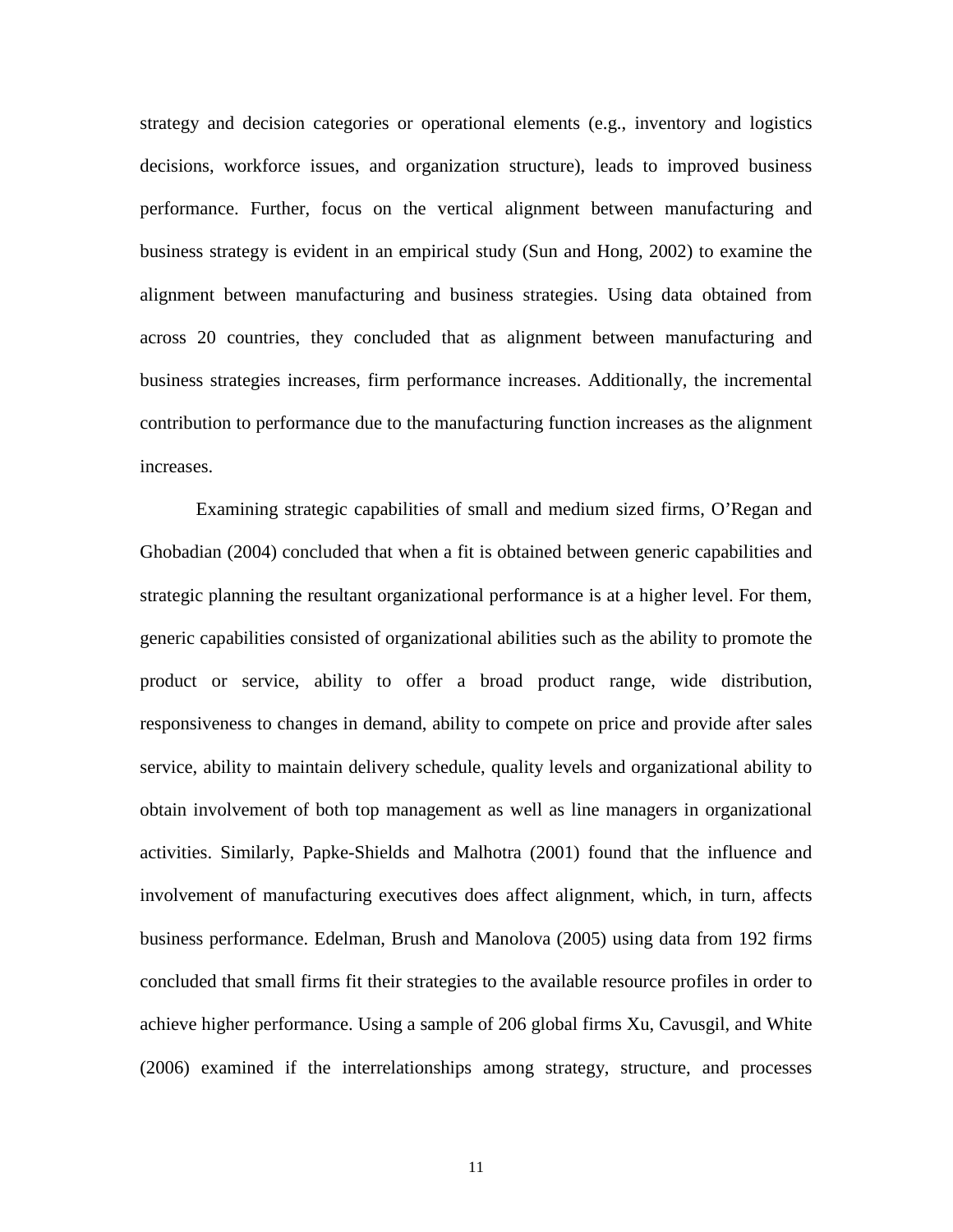strategy and decision categories or operational elements (e.g., inventory and logistics decisions, workforce issues, and organization structure), leads to improved business performance. Further, focus on the vertical alignment between manufacturing and business strategy is evident in an empirical study (Sun and Hong, 2002) to examine the alignment between manufacturing and business strategies. Using data obtained from across 20 countries, they concluded that as alignment between manufacturing and business strategies increases, firm performance increases. Additionally, the incremental contribution to performance due to the manufacturing function increases as the alignment increases.

Examining strategic capabilities of small and medium sized firms, O'Regan and Ghobadian (2004) concluded that when a fit is obtained between generic capabilities and strategic planning the resultant organizational performance is at a higher level. For them, generic capabilities consisted of organizational abilities such as the ability to promote the product or service, ability to offer a broad product range, wide distribution, responsiveness to changes in demand, ability to compete on price and provide after sales service, ability to maintain delivery schedule, quality levels and organizational ability to obtain involvement of both top management as well as line managers in organizational activities. Similarly, Papke-Shields and Malhotra (2001) found that the influence and involvement of manufacturing executives does affect alignment, which, in turn, affects business performance. Edelman, Brush and Manolova (2005) using data from 192 firms concluded that small firms fit their strategies to the available resource profiles in order to achieve higher performance. Using a sample of 206 global firms Xu, Cavusgil, and White (2006) examined if the interrelationships among strategy, structure, and processes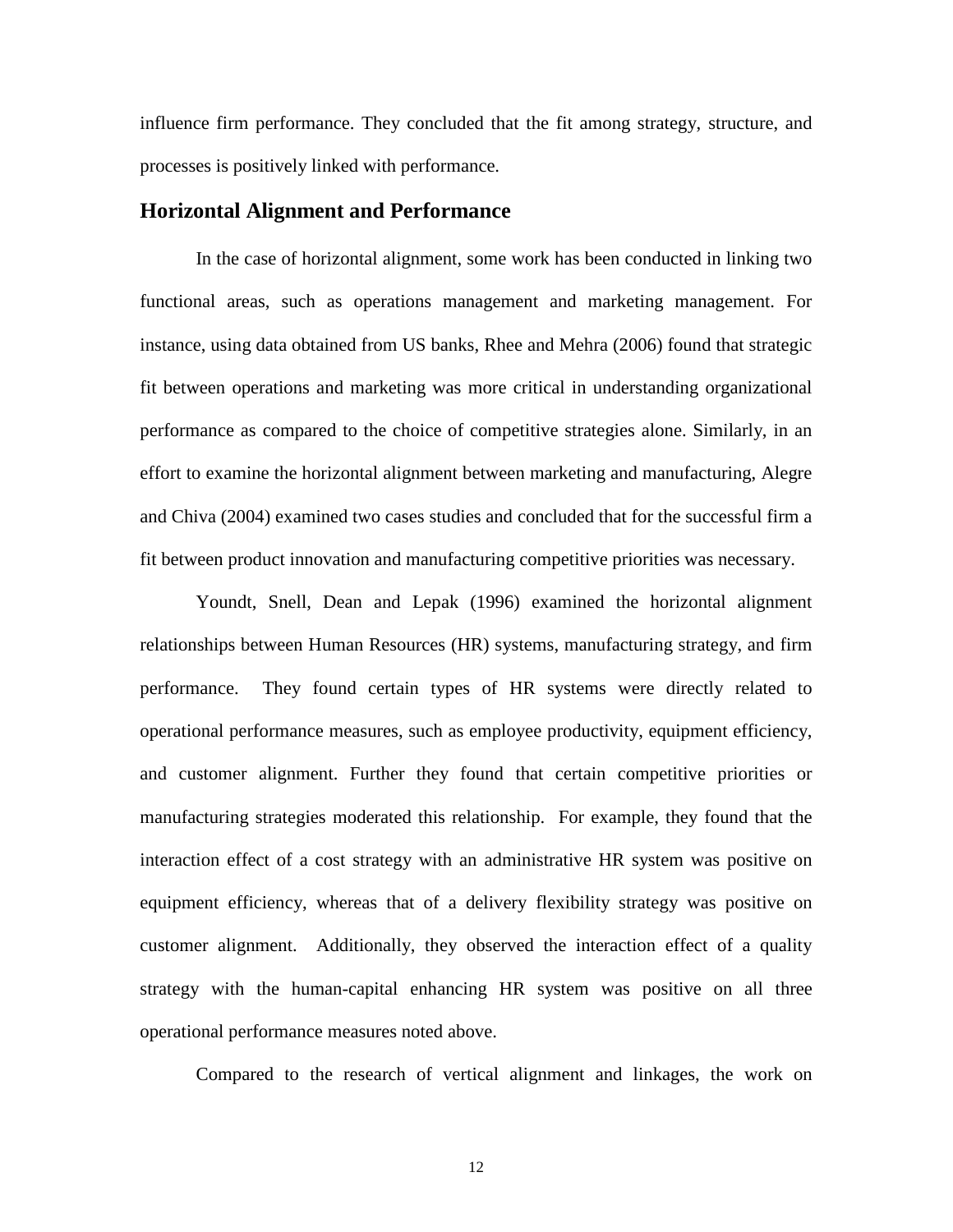influence firm performance. They concluded that the fit among strategy, structure, and processes is positively linked with performance.

#### **Horizontal Alignment and Performance**

In the case of horizontal alignment, some work has been conducted in linking two functional areas, such as operations management and marketing management. For instance, using data obtained from US banks, Rhee and Mehra (2006) found that strategic fit between operations and marketing was more critical in understanding organizational performance as compared to the choice of competitive strategies alone. Similarly, in an effort to examine the horizontal alignment between marketing and manufacturing, Alegre and Chiva (2004) examined two cases studies and concluded that for the successful firm a fit between product innovation and manufacturing competitive priorities was necessary.

Youndt, Snell, Dean and Lepak (1996) examined the horizontal alignment relationships between Human Resources (HR) systems, manufacturing strategy, and firm performance. They found certain types of HR systems were directly related to operational performance measures, such as employee productivity, equipment efficiency, and customer alignment. Further they found that certain competitive priorities or manufacturing strategies moderated this relationship. For example, they found that the interaction effect of a cost strategy with an administrative HR system was positive on equipment efficiency, whereas that of a delivery flexibility strategy was positive on customer alignment. Additionally, they observed the interaction effect of a quality strategy with the human-capital enhancing HR system was positive on all three operational performance measures noted above.

Compared to the research of vertical alignment and linkages, the work on

12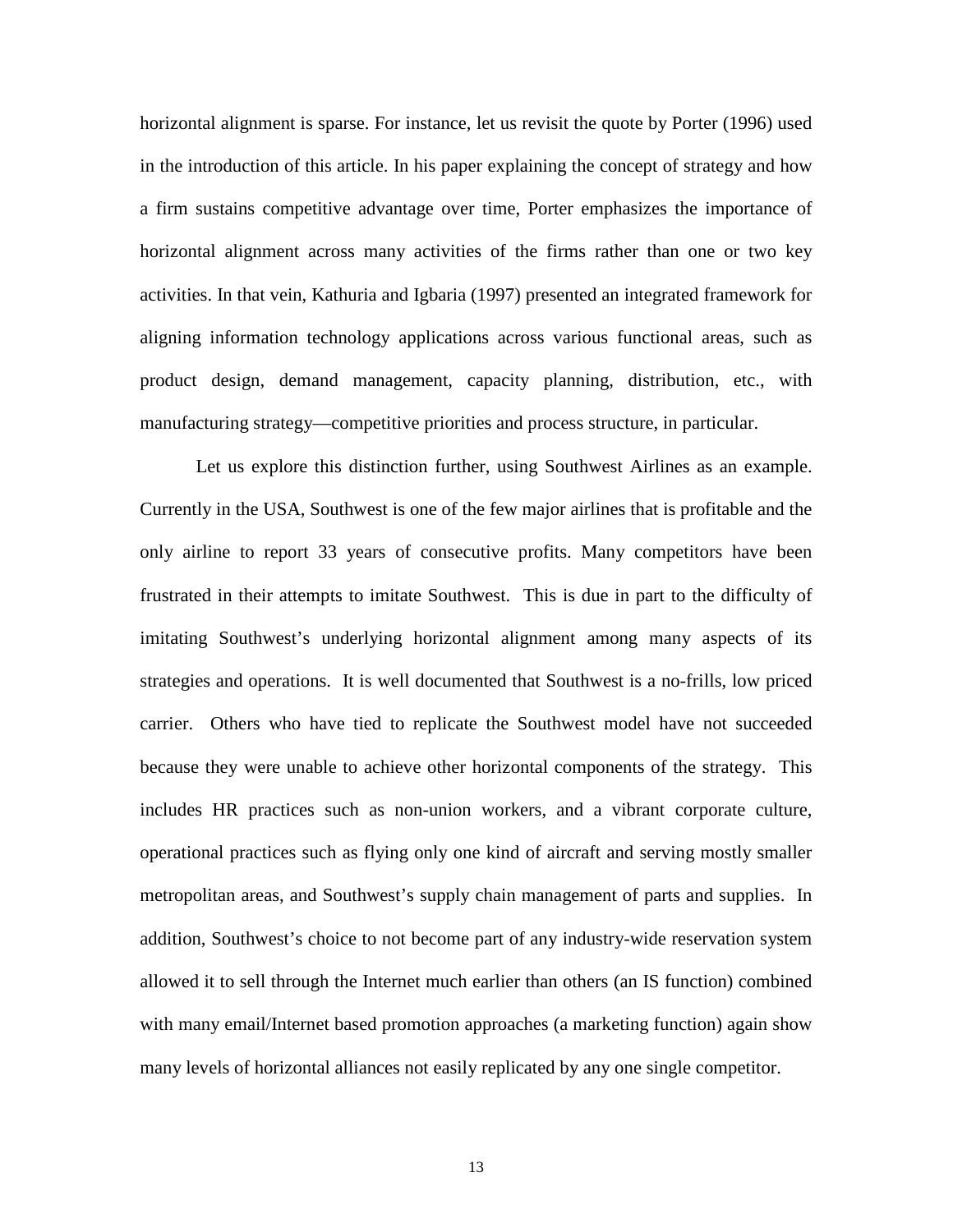horizontal alignment is sparse. For instance, let us revisit the quote by Porter (1996) used in the introduction of this article. In his paper explaining the concept of strategy and how a firm sustains competitive advantage over time, Porter emphasizes the importance of horizontal alignment across many activities of the firms rather than one or two key activities. In that vein, Kathuria and Igbaria (1997) presented an integrated framework for aligning information technology applications across various functional areas, such as product design, demand management, capacity planning, distribution, etc., with manufacturing strategy—competitive priorities and process structure, in particular.

Let us explore this distinction further, using Southwest Airlines as an example. Currently in the USA, Southwest is one of the few major airlines that is profitable and the only airline to report 33 years of consecutive profits. Many competitors have been frustrated in their attempts to imitate Southwest. This is due in part to the difficulty of imitating Southwest's underlying horizontal alignment among many aspects of its strategies and operations. It is well documented that Southwest is a no-frills, low priced carrier. Others who have tied to replicate the Southwest model have not succeeded because they were unable to achieve other horizontal components of the strategy. This includes HR practices such as non-union workers, and a vibrant corporate culture, operational practices such as flying only one kind of aircraft and serving mostly smaller metropolitan areas, and Southwest's supply chain management of parts and supplies. In addition, Southwest's choice to not become part of any industry-wide reservation system allowed it to sell through the Internet much earlier than others (an IS function) combined with many email/Internet based promotion approaches (a marketing function) again show many levels of horizontal alliances not easily replicated by any one single competitor.

13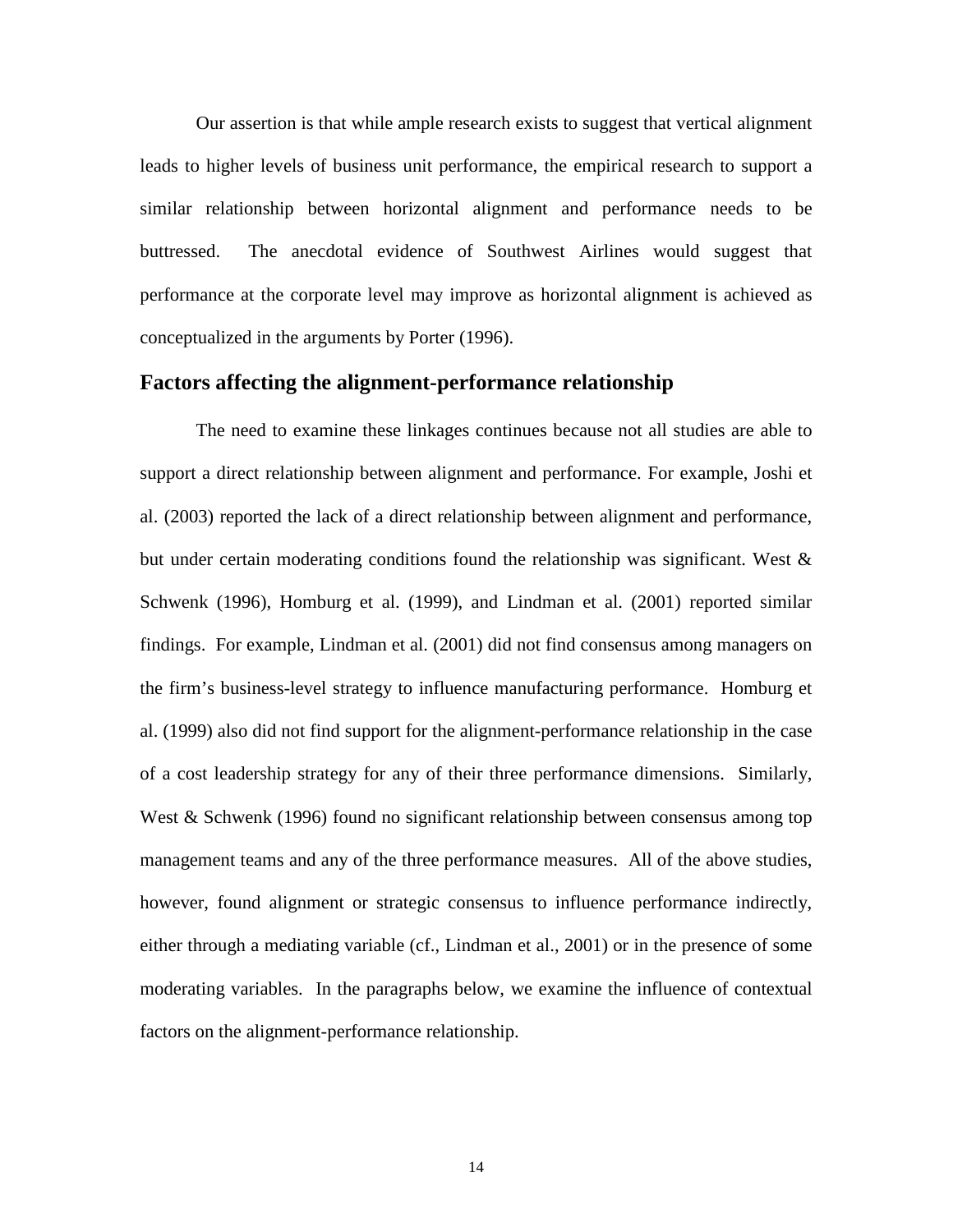Our assertion is that while ample research exists to suggest that vertical alignment leads to higher levels of business unit performance, the empirical research to support a similar relationship between horizontal alignment and performance needs to be buttressed. The anecdotal evidence of Southwest Airlines would suggest that performance at the corporate level may improve as horizontal alignment is achieved as conceptualized in the arguments by Porter (1996).

#### **Factors affecting the alignment-performance relationship**

The need to examine these linkages continues because not all studies are able to support a direct relationship between alignment and performance. For example, Joshi et al. (2003) reported the lack of a direct relationship between alignment and performance, but under certain moderating conditions found the relationship was significant. West  $\&$ Schwenk (1996), Homburg et al. (1999), and Lindman et al. (2001) reported similar findings. For example, Lindman et al. (2001) did not find consensus among managers on the firm's business-level strategy to influence manufacturing performance. Homburg et al. (1999) also did not find support for the alignment-performance relationship in the case of a cost leadership strategy for any of their three performance dimensions. Similarly, West & Schwenk (1996) found no significant relationship between consensus among top management teams and any of the three performance measures. All of the above studies, however, found alignment or strategic consensus to influence performance indirectly, either through a mediating variable (cf., Lindman et al., 2001) or in the presence of some moderating variables. In the paragraphs below, we examine the influence of contextual factors on the alignment-performance relationship.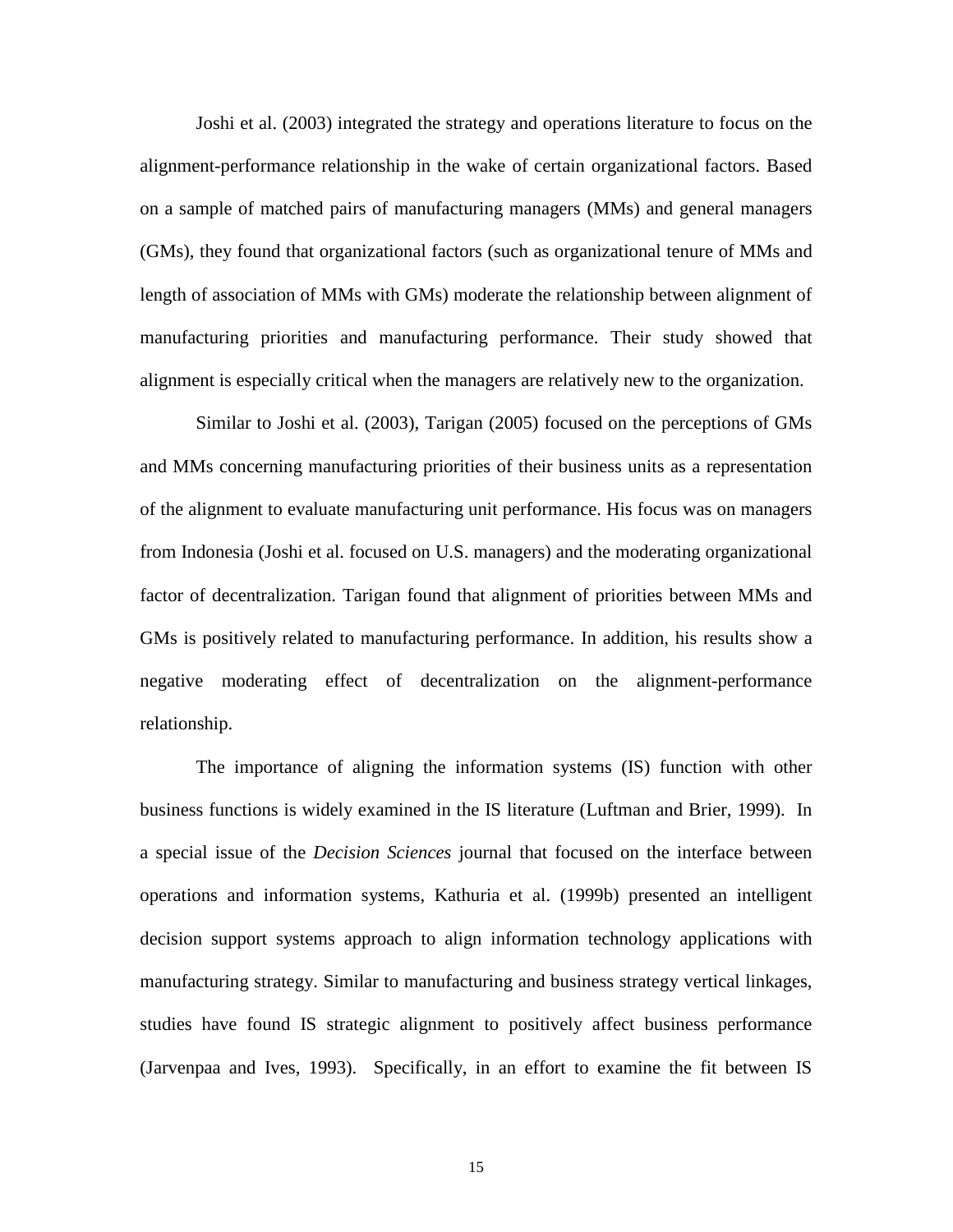Joshi et al. (2003) integrated the strategy and operations literature to focus on the alignment-performance relationship in the wake of certain organizational factors. Based on a sample of matched pairs of manufacturing managers (MMs) and general managers (GMs), they found that organizational factors (such as organizational tenure of MMs and length of association of MMs with GMs) moderate the relationship between alignment of manufacturing priorities and manufacturing performance. Their study showed that alignment is especially critical when the managers are relatively new to the organization.

Similar to Joshi et al. (2003), Tarigan (2005) focused on the perceptions of GMs and MMs concerning manufacturing priorities of their business units as a representation of the alignment to evaluate manufacturing unit performance. His focus was on managers from Indonesia (Joshi et al. focused on U.S. managers) and the moderating organizational factor of decentralization. Tarigan found that alignment of priorities between MMs and GMs is positively related to manufacturing performance. In addition, his results show a negative moderating effect of decentralization on the alignment-performance relationship.

The importance of aligning the information systems (IS) function with other business functions is widely examined in the IS literature (Luftman and Brier, 1999). In a special issue of the *Decision Sciences* journal that focused on the interface between operations and information systems, Kathuria et al. (1999b) presented an intelligent decision support systems approach to align information technology applications with manufacturing strategy. Similar to manufacturing and business strategy vertical linkages, studies have found IS strategic alignment to positively affect business performance (Jarvenpaa and Ives, 1993). Specifically, in an effort to examine the fit between IS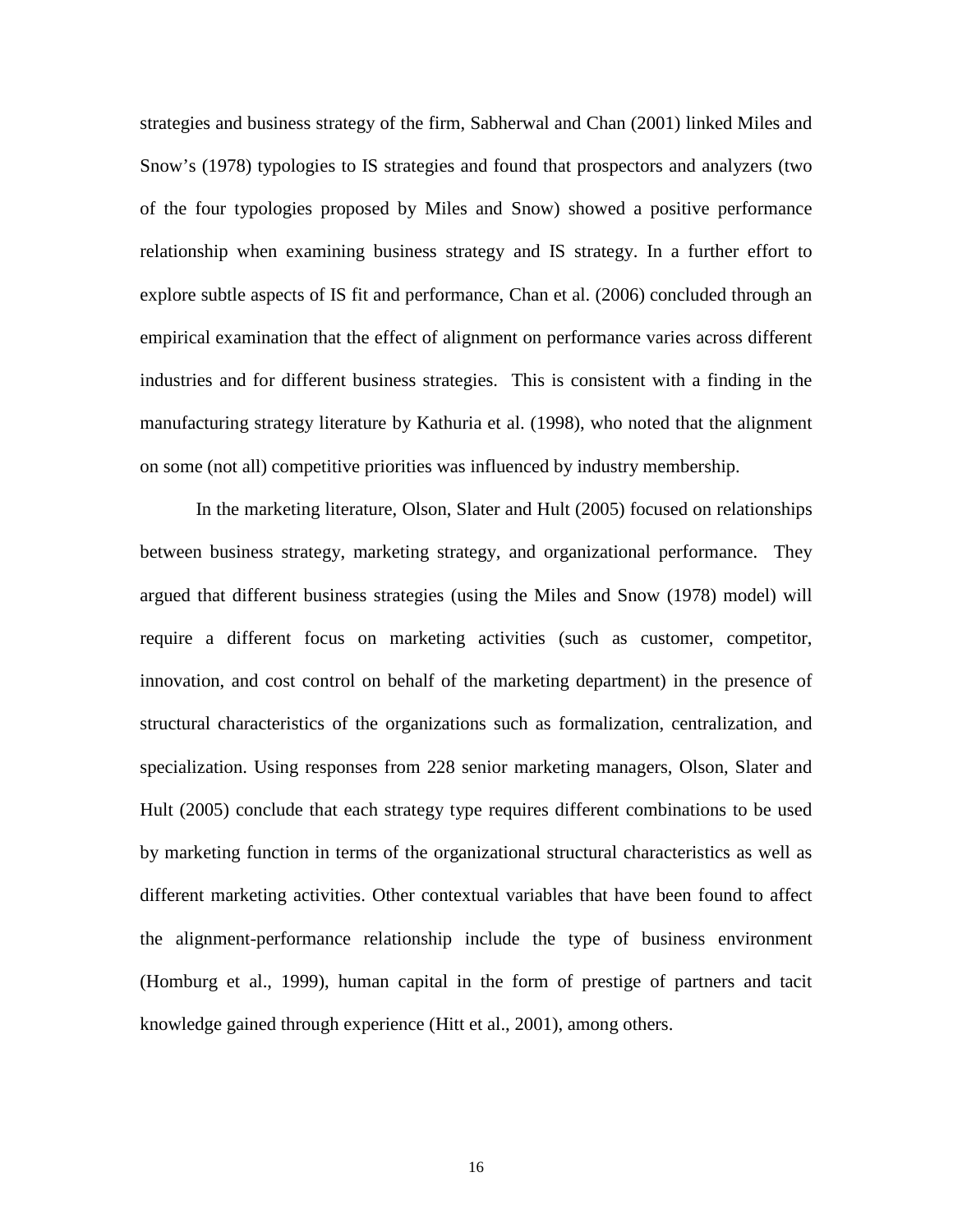strategies and business strategy of the firm, Sabherwal and Chan (2001) linked Miles and Snow's (1978) typologies to IS strategies and found that prospectors and analyzers (two of the four typologies proposed by Miles and Snow) showed a positive performance relationship when examining business strategy and IS strategy. In a further effort to explore subtle aspects of IS fit and performance, Chan et al. (2006) concluded through an empirical examination that the effect of alignment on performance varies across different industries and for different business strategies. This is consistent with a finding in the manufacturing strategy literature by Kathuria et al. (1998), who noted that the alignment on some (not all) competitive priorities was influenced by industry membership.

In the marketing literature, Olson, Slater and Hult (2005) focused on relationships between business strategy, marketing strategy, and organizational performance. They argued that different business strategies (using the Miles and Snow (1978) model) will require a different focus on marketing activities (such as customer, competitor, innovation, and cost control on behalf of the marketing department) in the presence of structural characteristics of the organizations such as formalization, centralization, and specialization. Using responses from 228 senior marketing managers, Olson, Slater and Hult (2005) conclude that each strategy type requires different combinations to be used by marketing function in terms of the organizational structural characteristics as well as different marketing activities. Other contextual variables that have been found to affect the alignment-performance relationship include the type of business environment (Homburg et al., 1999), human capital in the form of prestige of partners and tacit knowledge gained through experience (Hitt et al., 2001), among others.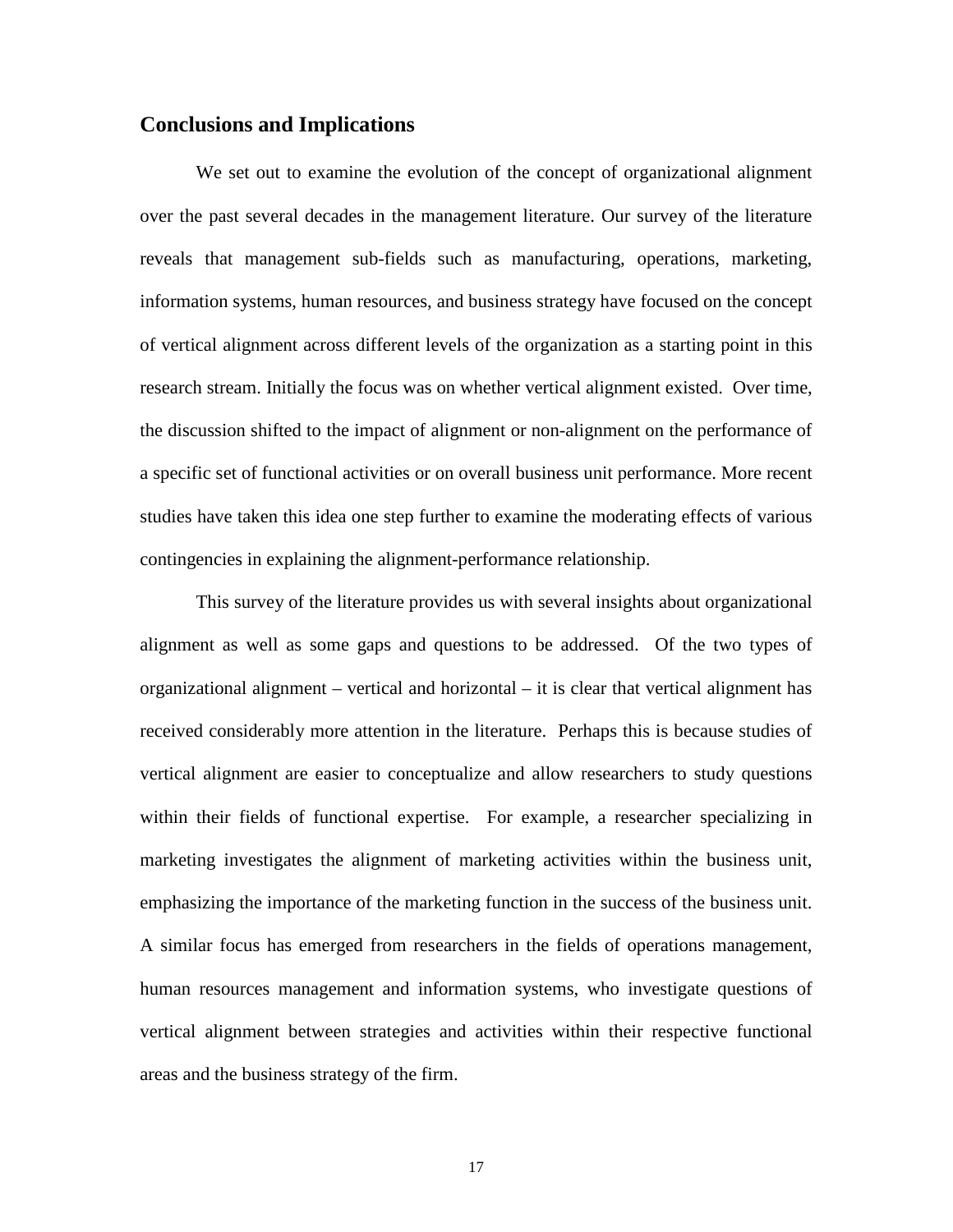#### **Conclusions and Implications**

We set out to examine the evolution of the concept of organizational alignment over the past several decades in the management literature. Our survey of the literature reveals that management sub-fields such as manufacturing, operations, marketing, information systems, human resources, and business strategy have focused on the concept of vertical alignment across different levels of the organization as a starting point in this research stream. Initially the focus was on whether vertical alignment existed. Over time, the discussion shifted to the impact of alignment or non-alignment on the performance of a specific set of functional activities or on overall business unit performance. More recent studies have taken this idea one step further to examine the moderating effects of various contingencies in explaining the alignment-performance relationship.

This survey of the literature provides us with several insights about organizational alignment as well as some gaps and questions to be addressed. Of the two types of organizational alignment – vertical and horizontal – it is clear that vertical alignment has received considerably more attention in the literature. Perhaps this is because studies of vertical alignment are easier to conceptualize and allow researchers to study questions within their fields of functional expertise. For example, a researcher specializing in marketing investigates the alignment of marketing activities within the business unit, emphasizing the importance of the marketing function in the success of the business unit. A similar focus has emerged from researchers in the fields of operations management, human resources management and information systems, who investigate questions of vertical alignment between strategies and activities within their respective functional areas and the business strategy of the firm.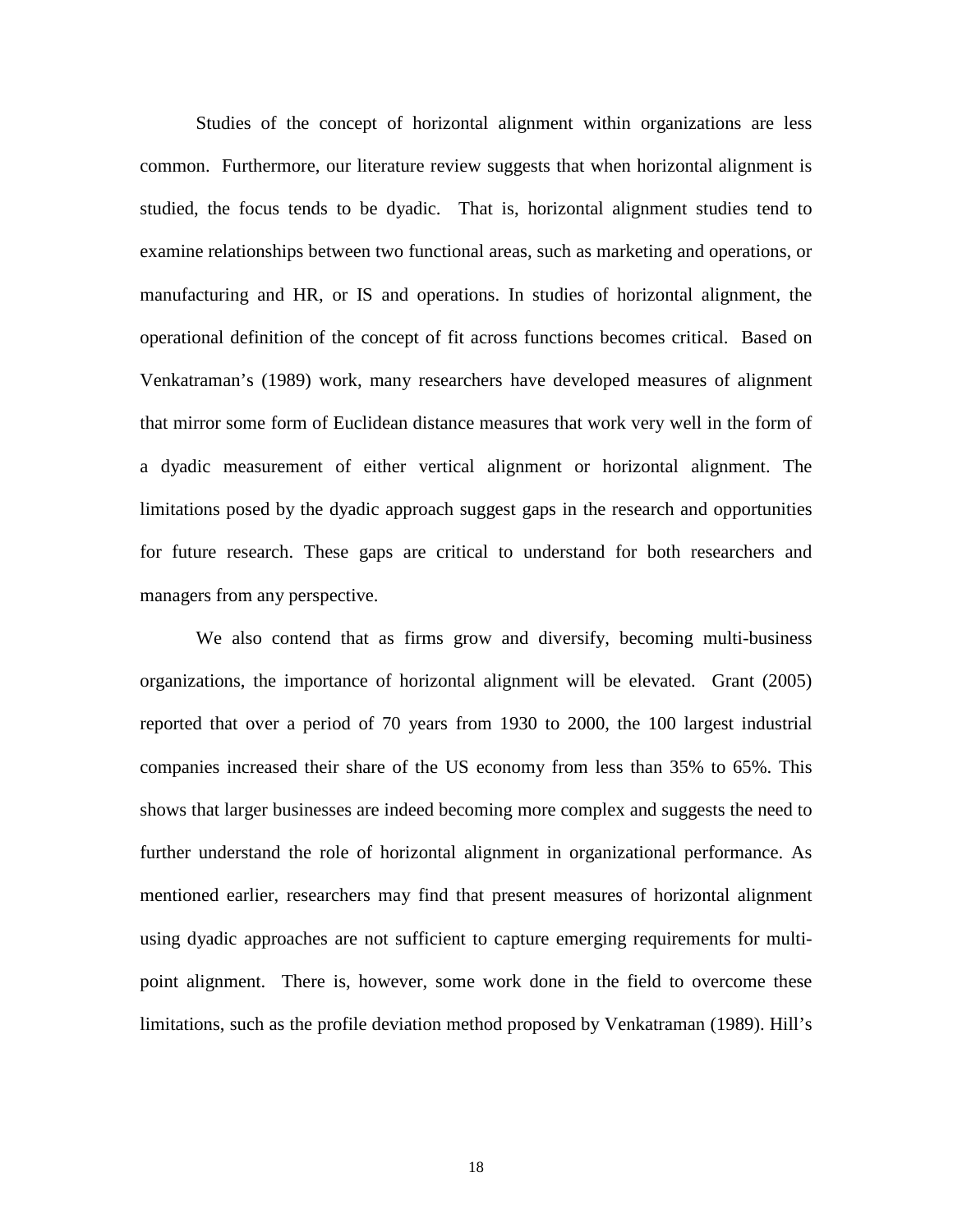Studies of the concept of horizontal alignment within organizations are less common. Furthermore, our literature review suggests that when horizontal alignment is studied, the focus tends to be dyadic. That is, horizontal alignment studies tend to examine relationships between two functional areas, such as marketing and operations, or manufacturing and HR, or IS and operations. In studies of horizontal alignment, the operational definition of the concept of fit across functions becomes critical. Based on Venkatraman's (1989) work, many researchers have developed measures of alignment that mirror some form of Euclidean distance measures that work very well in the form of a dyadic measurement of either vertical alignment or horizontal alignment. The limitations posed by the dyadic approach suggest gaps in the research and opportunities for future research. These gaps are critical to understand for both researchers and managers from any perspective.

We also contend that as firms grow and diversify, becoming multi-business organizations, the importance of horizontal alignment will be elevated. Grant (2005) reported that over a period of 70 years from 1930 to 2000, the 100 largest industrial companies increased their share of the US economy from less than 35% to 65%. This shows that larger businesses are indeed becoming more complex and suggests the need to further understand the role of horizontal alignment in organizational performance. As mentioned earlier, researchers may find that present measures of horizontal alignment using dyadic approaches are not sufficient to capture emerging requirements for multipoint alignment. There is, however, some work done in the field to overcome these limitations, such as the profile deviation method proposed by Venkatraman (1989). Hill's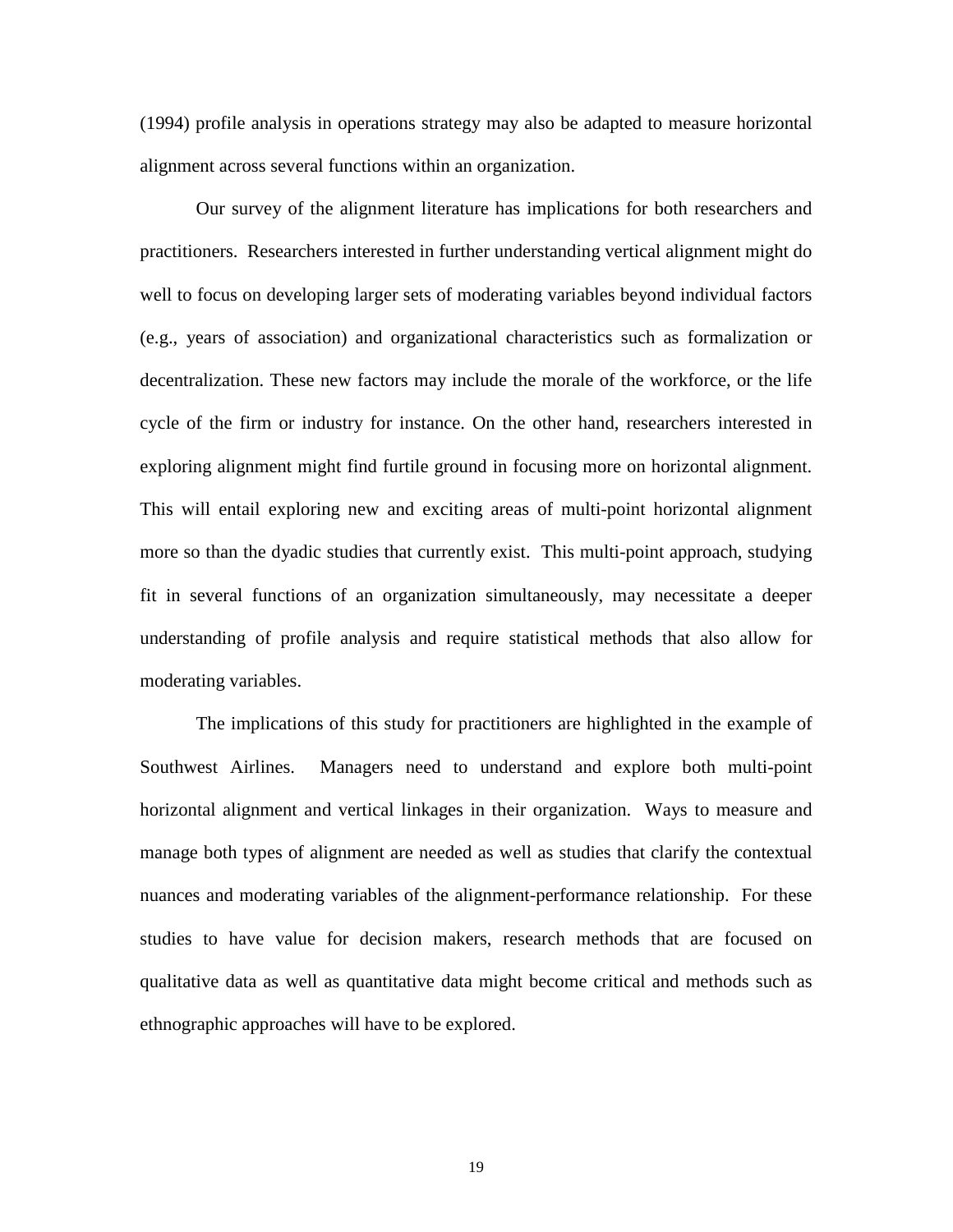(1994) profile analysis in operations strategy may also be adapted to measure horizontal alignment across several functions within an organization.

Our survey of the alignment literature has implications for both researchers and practitioners. Researchers interested in further understanding vertical alignment might do well to focus on developing larger sets of moderating variables beyond individual factors (e.g., years of association) and organizational characteristics such as formalization or decentralization. These new factors may include the morale of the workforce, or the life cycle of the firm or industry for instance. On the other hand, researchers interested in exploring alignment might find furtile ground in focusing more on horizontal alignment. This will entail exploring new and exciting areas of multi-point horizontal alignment more so than the dyadic studies that currently exist. This multi-point approach, studying fit in several functions of an organization simultaneously, may necessitate a deeper understanding of profile analysis and require statistical methods that also allow for moderating variables.

The implications of this study for practitioners are highlighted in the example of Southwest Airlines. Managers need to understand and explore both multi-point horizontal alignment and vertical linkages in their organization. Ways to measure and manage both types of alignment are needed as well as studies that clarify the contextual nuances and moderating variables of the alignment-performance relationship. For these studies to have value for decision makers, research methods that are focused on qualitative data as well as quantitative data might become critical and methods such as ethnographic approaches will have to be explored.

19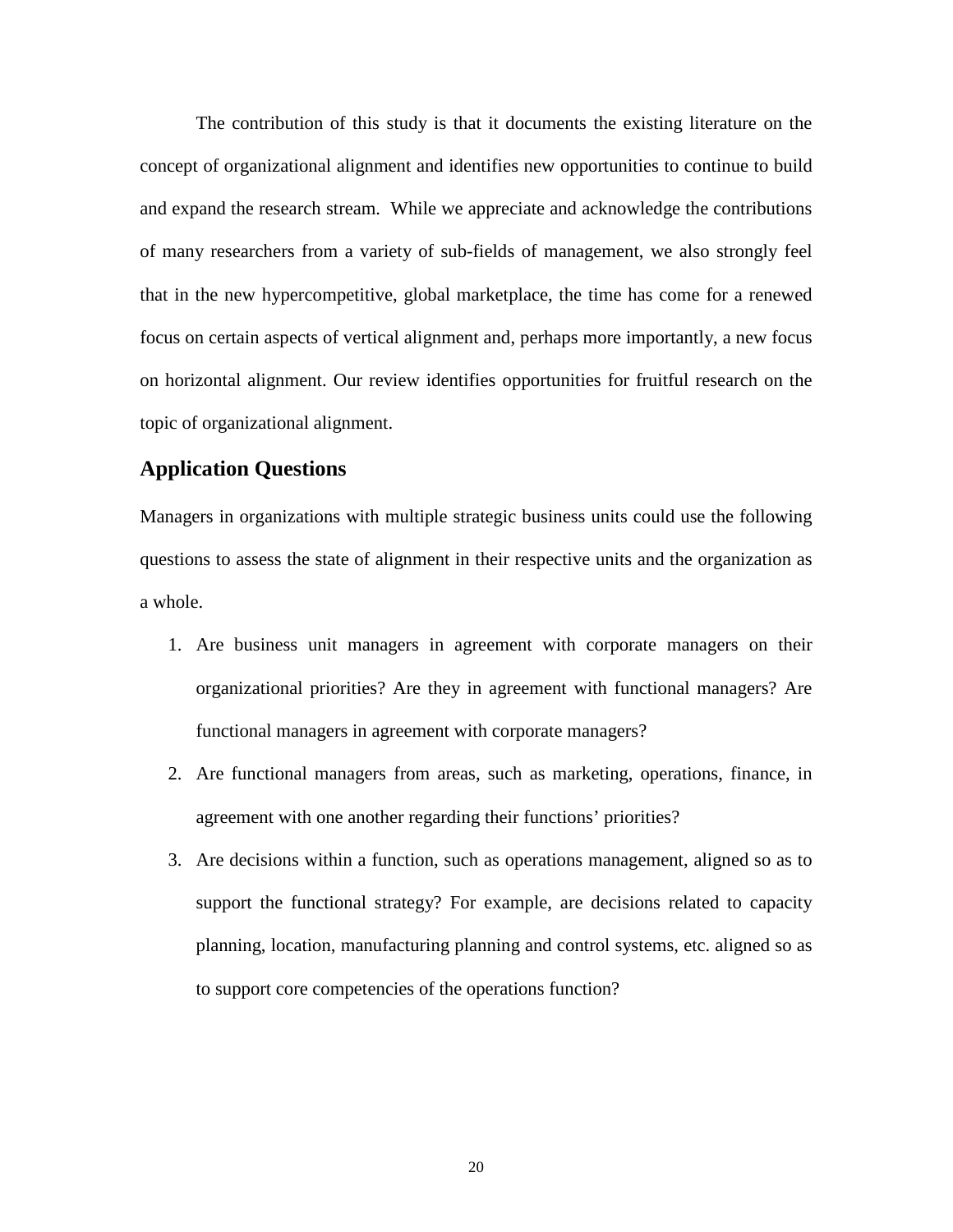The contribution of this study is that it documents the existing literature on the concept of organizational alignment and identifies new opportunities to continue to build and expand the research stream. While we appreciate and acknowledge the contributions of many researchers from a variety of sub-fields of management, we also strongly feel that in the new hypercompetitive, global marketplace, the time has come for a renewed focus on certain aspects of vertical alignment and, perhaps more importantly, a new focus on horizontal alignment. Our review identifies opportunities for fruitful research on the topic of organizational alignment.

### **Application Questions**

Managers in organizations with multiple strategic business units could use the following questions to assess the state of alignment in their respective units and the organization as a whole.

- 1. Are business unit managers in agreement with corporate managers on their organizational priorities? Are they in agreement with functional managers? Are functional managers in agreement with corporate managers?
- 2. Are functional managers from areas, such as marketing, operations, finance, in agreement with one another regarding their functions' priorities?
- 3. Are decisions within a function, such as operations management, aligned so as to support the functional strategy? For example, are decisions related to capacity planning, location, manufacturing planning and control systems, etc. aligned so as to support core competencies of the operations function?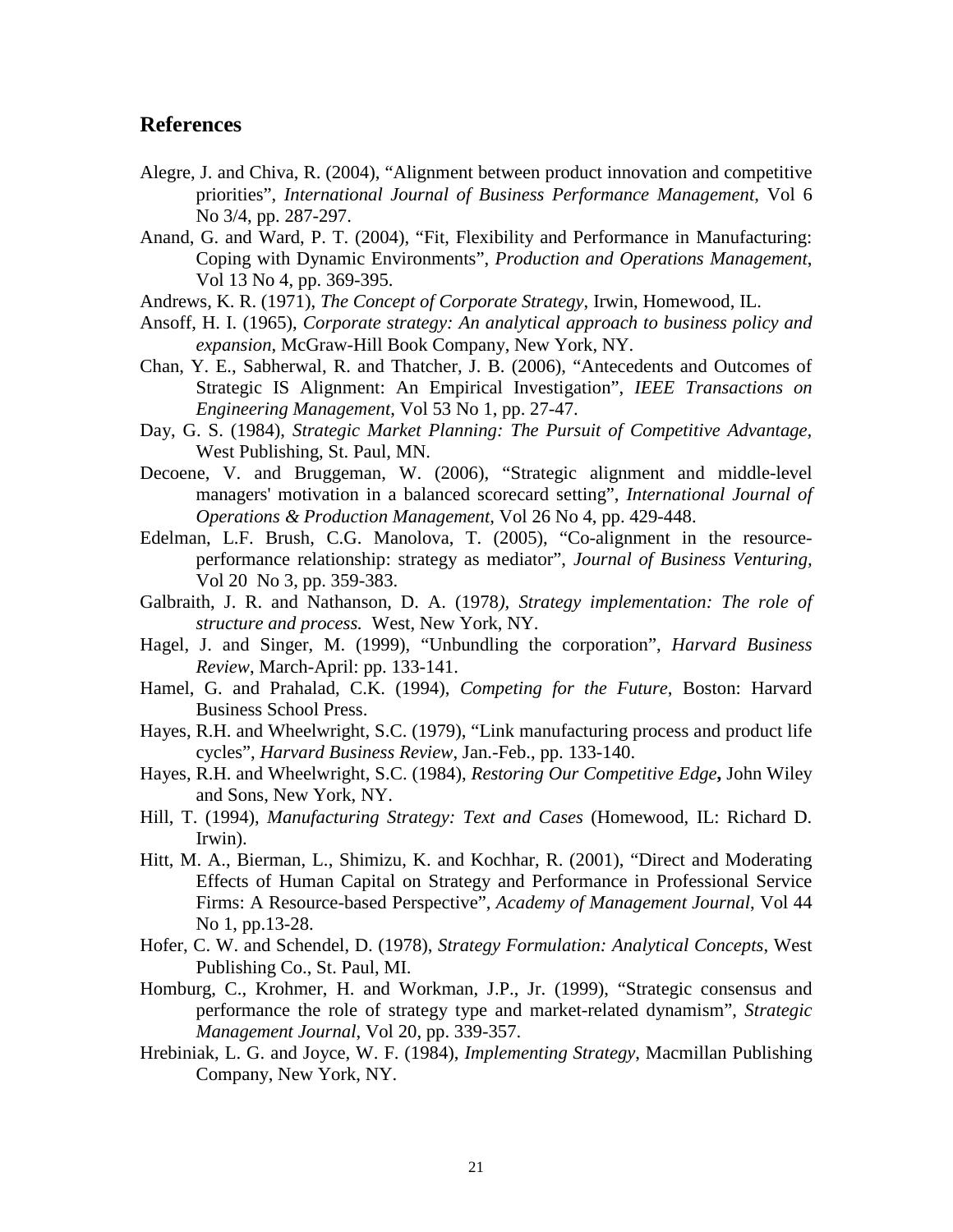#### **References**

- Alegre, J. and Chiva, R. (2004), "Alignment between product innovation and competitive priorities", *International Journal of Business Performance Management*, Vol 6 No 3/4, pp. 287-297.
- Anand, G. and Ward, P. T. (2004), "Fit, Flexibility and Performance in Manufacturing: Coping with Dynamic Environments", *Production and Operations Management*, Vol 13 No 4, pp. 369-395.
- Andrews, K. R. (1971), *The Concept of Corporate Strategy*, Irwin, Homewood, IL.
- Ansoff, H. I. (1965), *Corporate strategy: An analytical approach to business policy and expansion*, McGraw-Hill Book Company, New York, NY.
- Chan, Y. E., Sabherwal, R. and Thatcher, J. B. (2006), "Antecedents and Outcomes of Strategic IS Alignment: An Empirical Investigation", *IEEE Transactions on Engineering Management*, Vol 53 No 1, pp. 27-47.
- Day, G. S. (1984), *Strategic Market Planning: The Pursuit of Competitive Advantage,* West Publishing, St. Paul, MN.
- Decoene, V. and Bruggeman, W. (2006), "Strategic alignment and middle-level managers' motivation in a balanced scorecard setting", *International Journal of Operations & Production Management*, Vol 26 No 4, pp. 429-448.
- Edelman, L.F. Brush, C.G. Manolova, T. (2005), "Co-alignment in the resourceperformance relationship: strategy as mediator", *Journal of Business Venturing,* Vol 20 No 3, pp. 359-383.
- Galbraith, J. R. and Nathanson, D. A. (1978*), Strategy implementation: The role of structure and process.* West, New York, NY.
- Hagel, J. and Singer, M. (1999), "Unbundling the corporation", *Harvard Business Review*, March-April: pp. 133-141.
- Hamel, G. and Prahalad, C.K. (1994), *Competing for the Future*, Boston: Harvard Business School Press.
- Hayes, R.H. and Wheelwright, S.C. (1979), "Link manufacturing process and product life cycles", *Harvard Business Review*, Jan.-Feb., pp. 133-140.
- Hayes, R.H. and Wheelwright, S.C. (1984), *Restoring Our Competitive Edge***,** John Wiley and Sons, New York, NY.
- Hill, T. (1994), *Manufacturing Strategy: Text and Cases* (Homewood, IL: Richard D. Irwin).
- Hitt, M. A., Bierman, L., Shimizu, K. and Kochhar, R. (2001), "Direct and Moderating Effects of Human Capital on Strategy and Performance in Professional Service Firms: A Resource-based Perspective", *Academy of Management Journal*, Vol 44 No 1, pp.13-28.
- Hofer, C. W. and Schendel, D. (1978), *Strategy Formulation: Analytical Concepts*, West Publishing Co., St. Paul, MI.
- Homburg, C., Krohmer, H. and Workman, J.P., Jr. (1999), "Strategic consensus and performance the role of strategy type and market-related dynamism", *Strategic Management Journal*, Vol 20, pp. 339-357.
- Hrebiniak, L. G. and Joyce, W. F. (1984), *Implementing Strategy*, Macmillan Publishing Company, New York, NY.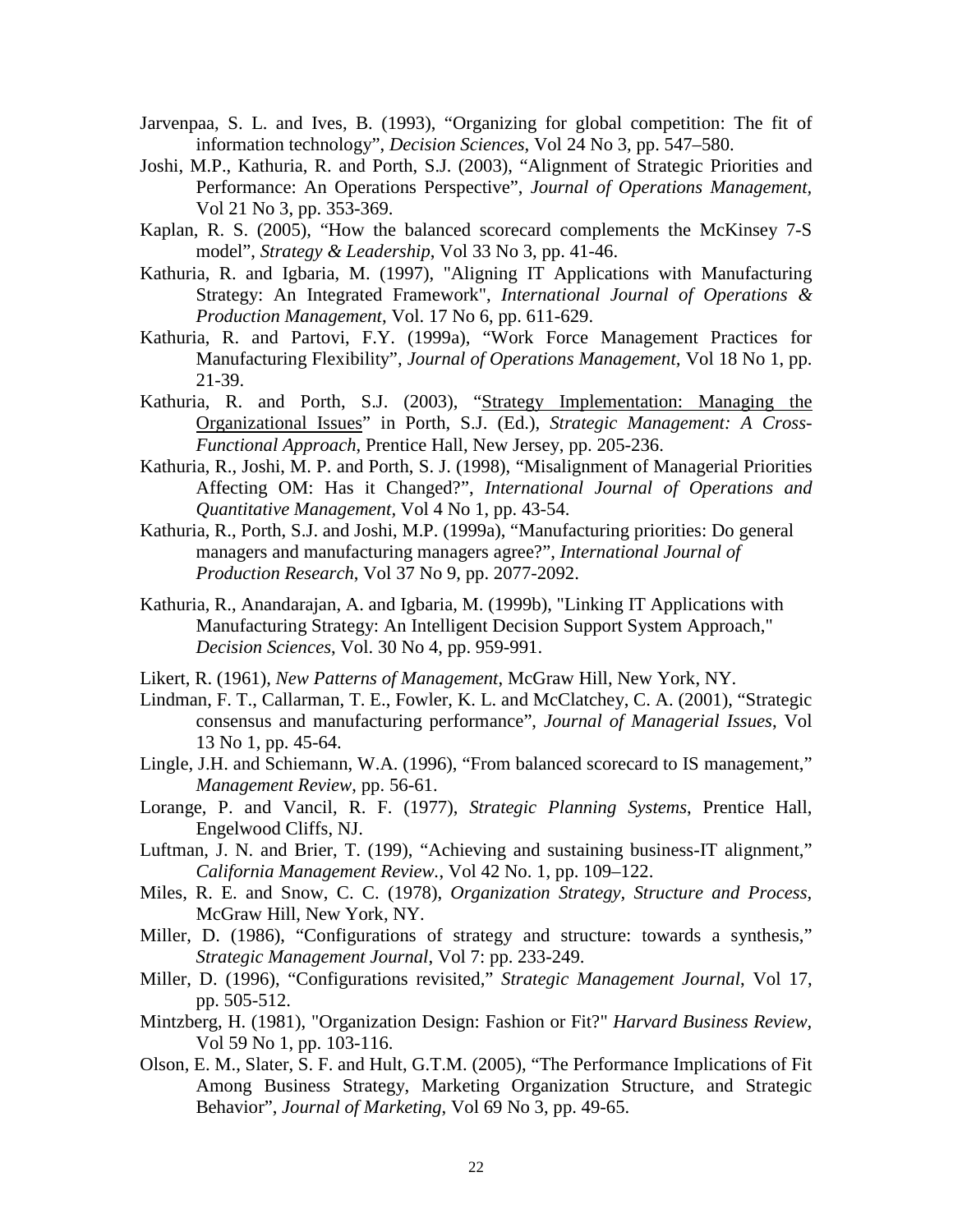- Jarvenpaa, S. L. and Ives, B. (1993), "Organizing for global competition: The fit of information technology", *Decision Sciences*, Vol 24 No 3, pp. 547–580.
- Joshi, M.P., Kathuria, R. and Porth, S.J. (2003), "Alignment of Strategic Priorities and Performance: An Operations Perspective", *Journal of Operations Management,*  Vol 21 No 3, pp. 353-369.
- Kaplan, R. S. (2005), "How the balanced scorecard complements the McKinsey 7-S model", *Strategy & Leadership*, Vol 33 No 3, pp. 41-46.
- Kathuria, R. and Igbaria, M. (1997), "Aligning IT Applications with Manufacturing Strategy: An Integrated Framework", *International Journal of Operations & Production Management*, Vol. 17 No 6, pp. 611-629.
- Kathuria, R. and Partovi, F.Y. (1999a), "Work Force Management Practices for Manufacturing Flexibility", *Journal of Operations Management,* Vol 18 No 1, pp. 21-39.
- Kathuria, R. and Porth, S.J. (2003), "Strategy Implementation: Managing the Organizational Issues" in Porth, S.J. (Ed.), *Strategic Management: A Cross-Functional Approach*, Prentice Hall, New Jersey, pp. 205-236.
- Kathuria, R., Joshi, M. P. and Porth, S. J. (1998), "Misalignment of Managerial Priorities Affecting OM: Has it Changed?", *International Journal of Operations and Quantitative Management,* Vol 4 No 1, pp. 43-54.
- Kathuria, R., Porth, S.J. and Joshi, M.P. (1999a), "Manufacturing priorities: Do general managers and manufacturing managers agree?", *International Journal of Production Research*, Vol 37 No 9, pp. 2077-2092.
- Kathuria, R., Anandarajan, A. and Igbaria, M. (1999b), "Linking IT Applications with Manufacturing Strategy: An Intelligent Decision Support System Approach," *Decision Sciences*, Vol. 30 No 4, pp. 959-991.
- Likert, R. (1961), *New Patterns of Management*, McGraw Hill, New York, NY.
- Lindman, F. T., Callarman, T. E., Fowler, K. L. and McClatchey, C. A. (2001), "Strategic consensus and manufacturing performance", *Journal of Managerial Issues*, Vol 13 No 1, pp. 45-64.
- Lingle, J.H. and Schiemann, W.A. (1996), "From balanced scorecard to IS management," *Management Review*, pp. 56-61.
- Lorange, P. and Vancil, R. F. (1977), *Strategic Planning Systems*, Prentice Hall, Engelwood Cliffs, NJ.
- Luftman, J. N. and Brier, T. (199), "Achieving and sustaining business-IT alignment," *California Management Review.*, Vol 42 No. 1, pp. 109–122.
- Miles, R. E. and Snow, C. C. (1978), *Organization Strategy, Structure and Process,* McGraw Hill, New York, NY.
- Miller, D. (1986), "Configurations of strategy and structure: towards a synthesis," *Strategic Management Journal*, Vol 7: pp. 233-249.
- Miller, D. (1996), "Configurations revisited," *Strategic Management Journal*, Vol 17, pp. 505-512.
- Mintzberg, H. (1981), "Organization Design: Fashion or Fit?" *Harvard Business Review,*  Vol 59 No 1, pp. 103-116.
- Olson, E. M., Slater, S. F. and Hult, G.T.M. (2005), "The Performance Implications of Fit Among Business Strategy, Marketing Organization Structure, and Strategic Behavior", *Journal of Marketing*, Vol 69 No 3, pp. 49-65.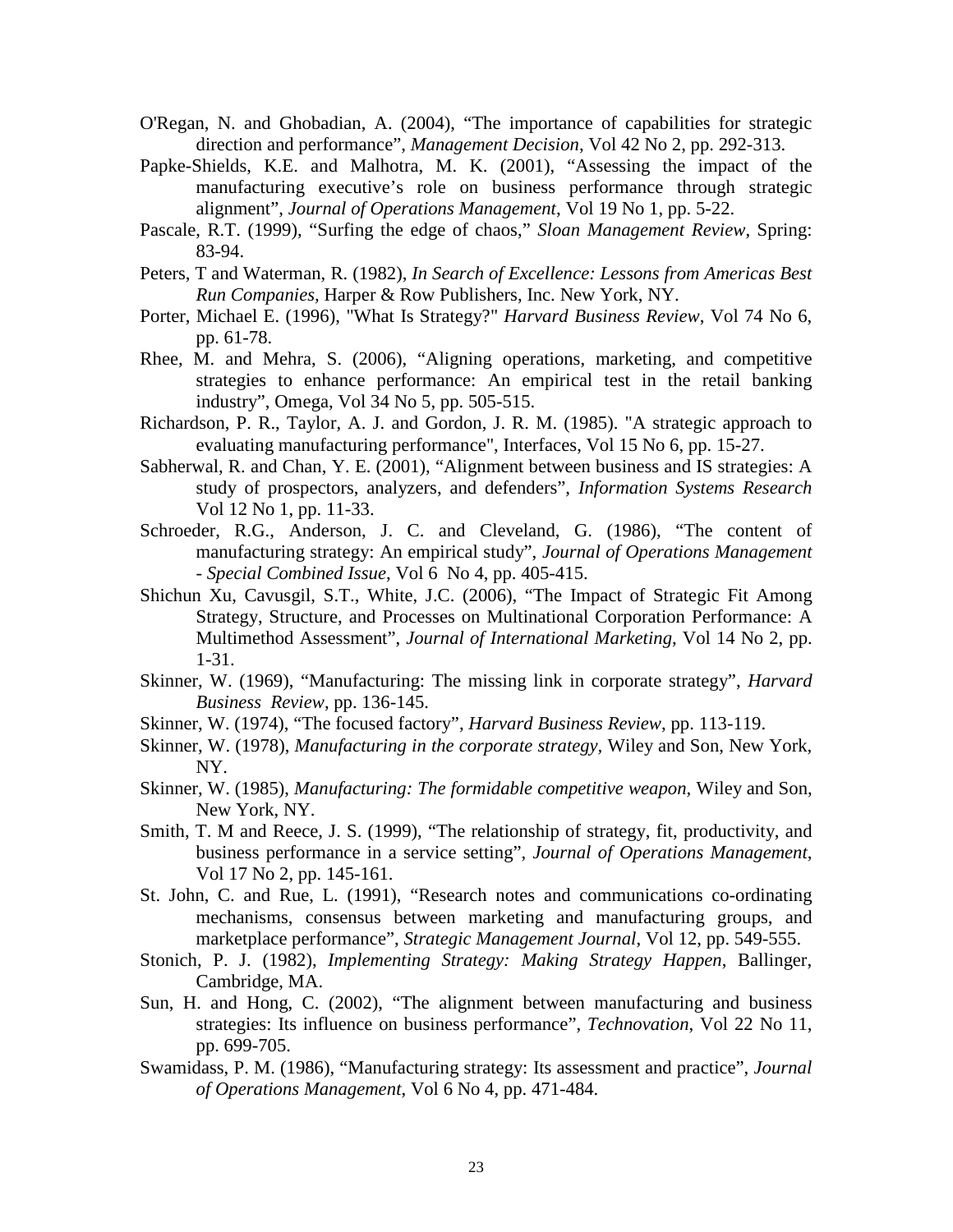- O'Regan, N. and Ghobadian, A. (2004), "The importance of capabilities for strategic direction and performance", *Management Decision*, Vol 42 No 2, pp. 292-313.
- Papke-Shields, K.E. and Malhotra, M. K. (2001), "Assessing the impact of the manufacturing executive's role on business performance through strategic alignment", *Journal of Operations Management*, Vol 19 No 1, pp. 5-22.
- Pascale, R.T. (1999), "Surfing the edge of chaos," *Sloan Management Review*, Spring: 83-94.
- Peters, T and Waterman, R. (1982), *In Search of Excellence: Lessons from Americas Best Run Companies,* Harper & Row Publishers, Inc. New York, NY.
- Porter, Michael E. (1996), "What Is Strategy?" *Harvard Business Review*, Vol 74 No 6, pp. 61-78.
- Rhee, M. and Mehra, S. (2006), "Aligning operations, marketing, and competitive strategies to enhance performance: An empirical test in the retail banking industry", Omega, Vol 34 No 5, pp. 505-515.
- Richardson, P. R., Taylor, A. J. and Gordon, J. R. M. (1985). "A strategic approach to evaluating manufacturing performance", Interfaces, Vol 15 No 6, pp. 15-27.
- Sabherwal, R. and Chan, Y. E. (2001), "Alignment between business and IS strategies: A study of prospectors, analyzers, and defenders", *Information Systems Research* Vol 12 No 1, pp. 11-33.
- Schroeder, R.G., Anderson, J. C. and Cleveland, G. (1986), "The content of manufacturing strategy: An empirical study", *Journal of Operations Management - Special Combined Issue*, Vol 6 No 4, pp. 405-415.
- Shichun Xu, Cavusgil, S.T., White, J.C. (2006), "The Impact of Strategic Fit Among Strategy, Structure, and Processes on Multinational Corporation Performance: A Multimethod Assessment", *Journal of International Marketing*, Vol 14 No 2, pp. 1-31.
- Skinner, W. (1969), "Manufacturing: The missing link in corporate strategy", *Harvard Business Review*, pp. 136-145.
- Skinner, W. (1974), "The focused factory", *Harvard Business Review*, pp. 113-119.
- Skinner, W. (1978), *Manufacturing in the corporate strategy,* Wiley and Son, New York, NY.
- Skinner, W. (1985), *Manufacturing: The formidable competitive weapon,* Wiley and Son, New York, NY.
- Smith, T. M and Reece, J. S. (1999), "The relationship of strategy, fit, productivity, and business performance in a service setting", *Journal of Operations Management*, Vol 17 No 2, pp. 145-161.
- St. John, C. and Rue, L. (1991), "Research notes and communications co-ordinating mechanisms, consensus between marketing and manufacturing groups, and marketplace performance", *Strategic Management Journal*, Vol 12, pp. 549-555.
- Stonich, P. J. (1982), *Implementing Strategy: Making Strategy Happen*, Ballinger, Cambridge, MA.
- Sun, H. and Hong, C. (2002), "The alignment between manufacturing and business strategies: Its influence on business performance", *Technovation*, Vol 22 No 11, pp. 699-705.
- Swamidass, P. M. (1986), "Manufacturing strategy: Its assessment and practice", *Journal of Operations Management*, Vol 6 No 4, pp. 471-484.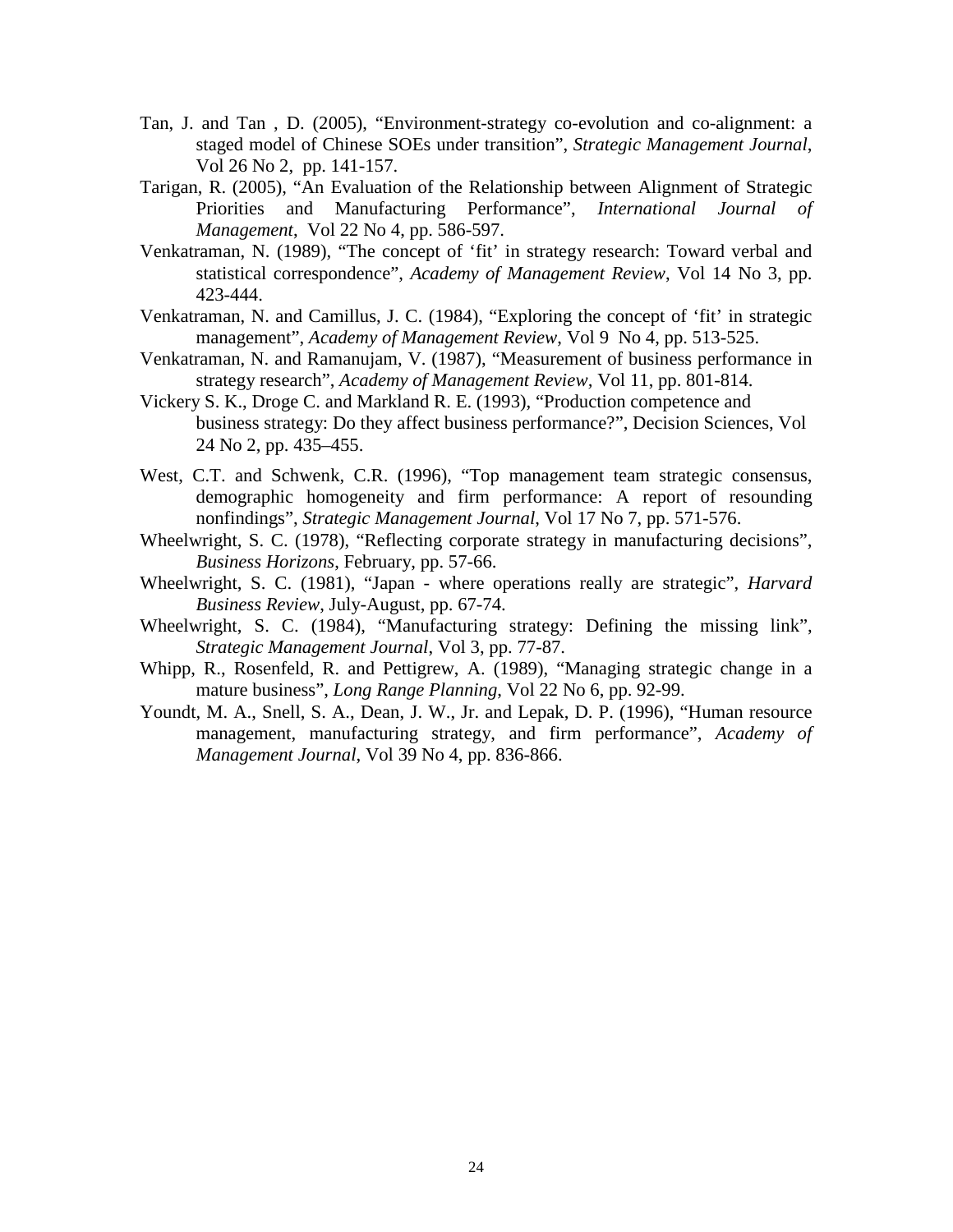- Tan, J. and Tan , D. (2005), "Environment-strategy co-evolution and co-alignment: a staged model of Chinese SOEs under transition", *Strategic Management Journal*, Vol 26 No 2, pp. 141-157.
- Tarigan, R. (2005), "An Evaluation of the Relationship between Alignment of Strategic Priorities and Manufacturing Performance", *International Journal of Management*, Vol 22 No 4, pp. 586-597.
- Venkatraman, N. (1989), "The concept of 'fit' in strategy research: Toward verbal and statistical correspondence", *Academy of Management Review*, Vol 14 No 3, pp. 423-444.
- Venkatraman, N. and Camillus, J. C. (1984), "Exploring the concept of 'fit' in strategic management", *Academy of Management Review*, Vol 9 No 4, pp. 513-525.
- Venkatraman, N. and Ramanujam, V. (1987), "Measurement of business performance in strategy research", *Academy of Management Review,* Vol 11, pp. 801-814.
- Vickery S. K., Droge C. and Markland R. E. (1993), "Production competence and business strategy: Do they affect business performance?", Decision Sciences, Vol 24 No 2, pp. 435–455.
- West, C.T. and Schwenk, C.R. (1996), "Top management team strategic consensus, demographic homogeneity and firm performance: A report of resounding nonfindings", *Strategic Management Journal*, Vol 17 No 7, pp. 571-576.
- Wheelwright, S. C. (1978), "Reflecting corporate strategy in manufacturing decisions", *Business Horizons*, February, pp. 57-66.
- Wheelwright, S. C. (1981), "Japan where operations really are strategic", *Harvard Business Review*, July-August, pp. 67-74.
- Wheelwright, S. C. (1984), "Manufacturing strategy: Defining the missing link", *Strategic Management Journal*, Vol 3, pp. 77-87.
- Whipp, R., Rosenfeld, R. and Pettigrew, A. (1989), "Managing strategic change in a mature business", *Long Range Planning*, Vol 22 No 6, pp. 92-99.
- Youndt, M. A., Snell, S. A., Dean, J. W., Jr. and Lepak, D. P. (1996), "Human resource management, manufacturing strategy, and firm performance", *Academy of Management Journal*, Vol 39 No 4, pp. 836-866.